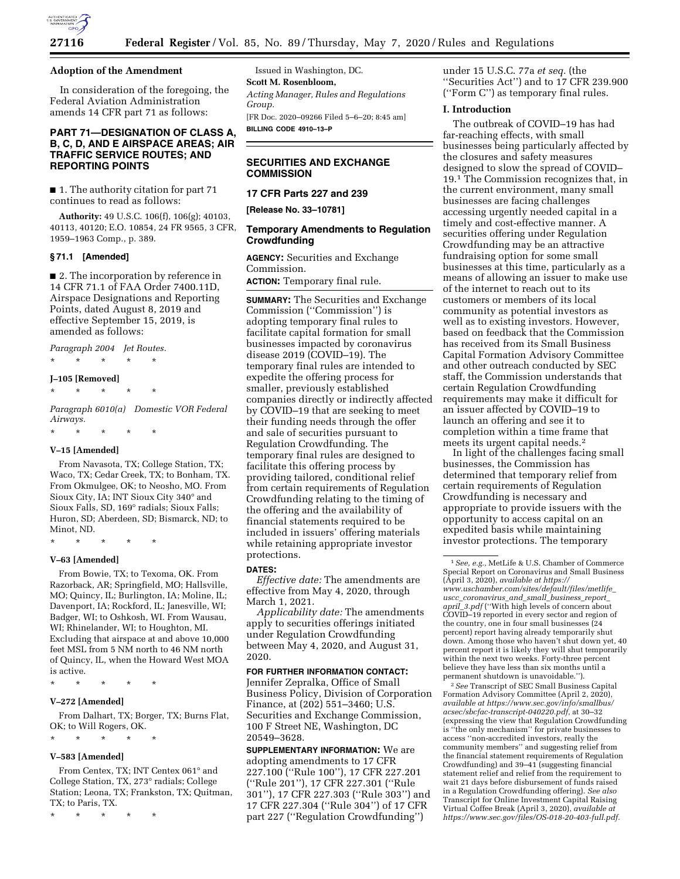

#### **Adoption of the Amendment**

In consideration of the foregoing, the Federal Aviation Administration amends 14 CFR part 71 as follows:

## **PART 71—DESIGNATION OF CLASS A, B, C, D, AND E AIRSPACE AREAS; AIR TRAFFIC SERVICE ROUTES; AND REPORTING POINTS**

■ 1. The authority citation for part 71 continues to read as follows:

**Authority:** 49 U.S.C. 106(f), 106(g); 40103, 40113, 40120; E.O. 10854, 24 FR 9565, 3 CFR, 1959–1963 Comp., p. 389.

### **§ 71.1 [Amended]**

■ 2. The incorporation by reference in 14 CFR 71.1 of FAA Order 7400.11D, Airspace Designations and Reporting Points, dated August 8, 2019 and effective September 15, 2019, is amended as follows:

*Paragraph 2004 Jet Routes.*  \* \* \* \* \*

### **J–105 [Removed]**

\* \* \* \* \*

*Paragraph 6010(a) Domestic VOR Federal Airways.* 

\* \* \* \* \*

## **V–15 [Amended]**

From Navasota, TX; College Station, TX; Waco, TX; Cedar Creek, TX; to Bonham, TX. From Okmulgee, OK; to Neosho, MO. From Sioux City, IA; INT Sioux City 340° and Sioux Falls, SD, 169° radials; Sioux Falls; Huron, SD; Aberdeen, SD; Bismarck, ND; to Minot, ND.

\* \* \* \* \*

## **V–63 [Amended]**

From Bowie, TX; to Texoma, OK. From Razorback, AR; Springfield, MO; Hallsville, MO; Quincy, IL; Burlington, IA; Moline, IL; Davenport, IA; Rockford, IL; Janesville, WI; Badger, WI; to Oshkosh, WI. From Wausau, WI; Rhinelander, WI; to Houghton, MI. Excluding that airspace at and above 10,000 feet MSL from 5 NM north to 46 NM north of Quincy, IL, when the Howard West MOA is active.

\* \* \* \* \*

#### **V–272 [Amended]**

From Dalhart, TX; Borger, TX; Burns Flat, OK; to Will Rogers, OK.

\* \* \* \* \*

#### **V–583 [Amended]**

From Centex, TX; INT Centex 061° and College Station, TX, 273° radials; College Station; Leona, TX; Frankston, TX; Quitman, TX; to Paris, TX.

\* \* \* \* \*

Issued in Washington, DC. **Scott M. Rosenbloom,**  *Acting Manager, Rules and Regulations Group.*  [FR Doc. 2020–09266 Filed 5–6–20; 8:45 am] **BILLING CODE 4910–13–P** 

## **SECURITIES AND EXCHANGE COMMISSION**

## **17 CFR Parts 227 and 239**

**[Release No. 33–10781]** 

## **Temporary Amendments to Regulation Crowdfunding**

**AGENCY:** Securities and Exchange Commission.

**ACTION:** Temporary final rule.

**SUMMARY:** The Securities and Exchange Commission (''Commission'') is adopting temporary final rules to facilitate capital formation for small businesses impacted by coronavirus disease 2019 (COVID–19). The temporary final rules are intended to expedite the offering process for smaller, previously established companies directly or indirectly affected by COVID–19 that are seeking to meet their funding needs through the offer and sale of securities pursuant to Regulation Crowdfunding. The temporary final rules are designed to facilitate this offering process by providing tailored, conditional relief from certain requirements of Regulation Crowdfunding relating to the timing of the offering and the availability of financial statements required to be included in issuers' offering materials while retaining appropriate investor protections.

#### **DATES:**

*Effective date:* The amendments are effective from May 4, 2020, through March 1, 2021.

*Applicability date:* The amendments apply to securities offerings initiated under Regulation Crowdfunding between May 4, 2020, and August 31, 2020.

#### **FOR FURTHER INFORMATION CONTACT:**

Jennifer Zepralka, Office of Small Business Policy, Division of Corporation Finance, at (202) 551–3460; U.S. Securities and Exchange Commission, 100 F Street NE, Washington, DC 20549–3628.

**SUPPLEMENTARY INFORMATION:** We are adopting amendments to 17 CFR 227.100 (''Rule 100''), 17 CFR 227.201 (''Rule 201''), 17 CFR 227.301 (''Rule 301''), 17 CFR 227.303 (''Rule 303'') and 17 CFR 227.304 (''Rule 304'') of 17 CFR part 227 (''Regulation Crowdfunding'')

under 15 U.S.C. 77a *et seq.* (the ''Securities Act'') and to 17 CFR 239.900 (''Form C'') as temporary final rules.

# **I. Introduction**

The outbreak of COVID–19 has had far-reaching effects, with small businesses being particularly affected by the closures and safety measures designed to slow the spread of COVID– 19.1 The Commission recognizes that, in the current environment, many small businesses are facing challenges accessing urgently needed capital in a timely and cost-effective manner. A securities offering under Regulation Crowdfunding may be an attractive fundraising option for some small businesses at this time, particularly as a means of allowing an issuer to make use of the internet to reach out to its customers or members of its local community as potential investors as well as to existing investors. However, based on feedback that the Commission has received from its Small Business Capital Formation Advisory Committee and other outreach conducted by SEC staff, the Commission understands that certain Regulation Crowdfunding requirements may make it difficult for an issuer affected by COVID–19 to launch an offering and see it to completion within a time frame that meets its urgent capital needs.2

In light of the challenges facing small businesses, the Commission has determined that temporary relief from certain requirements of Regulation Crowdfunding is necessary and appropriate to provide issuers with the opportunity to access capital on an expedited basis while maintaining investor protections. The temporary

2*See* Transcript of SEC Small Business Capital Formation Advisory Committee (April 2, 2020), *available at [https://www.sec.gov/info/smallbus/](https://www.sec.gov/info/smallbus/acsec/sbcfac-transcript-040220.pdf)  [acsec/sbcfac-transcript-040220.pdf,](https://www.sec.gov/info/smallbus/acsec/sbcfac-transcript-040220.pdf)* at 30–32 (expressing the view that Regulation Crowdfunding is ''the only mechanism'' for private businesses to access ''non-accredited investors, really the community members'' and suggesting relief from the financial statement requirements of Regulation Crowdfunding) and 39–41 (suggesting financial statement relief and relief from the requirement to wait 21 days before disbursement of funds raised in a Regulation Crowdfunding offering). *See also*  Transcript for Online Investment Capital Raising Virtual Coffee Break (April 3, 2020), *available at [https://www.sec.gov/files/OS-018-20-403-full.pdf.](https://www.sec.gov/files/OS-018-20-403-full.pdf)* 

<sup>1</sup>*See, e.g.,* MetLife & U.S. Chamber of Commerce Special Report on Coronavirus and Small Business (April 3, 2020), *available at [https://](https://www.uschamber.com/sites/default/files/metlife_uscc_coronavirus_and_small_business_report_april_3.pdf) [www.uschamber.com/sites/default/files/metlife](https://www.uschamber.com/sites/default/files/metlife_uscc_coronavirus_and_small_business_report_april_3.pdf)*\_ *uscc*\_*[coronavirus](https://www.uschamber.com/sites/default/files/metlife_uscc_coronavirus_and_small_business_report_april_3.pdf)*\_*and*\_*small*\_*business*\_*report*\_ *april*\_*[3.pdf](https://www.uschamber.com/sites/default/files/metlife_uscc_coronavirus_and_small_business_report_april_3.pdf)* (''With high levels of concern about COVID–19 reported in every sector and region of the country, one in four small businesses (24 percent) report having already temporarily shut down. Among those who haven't shut down yet, 40 percent report it is likely they will shut temporarily within the next two weeks. Forty-three percent believe they have less than six months until a permanent shutdown is unavoidable.'').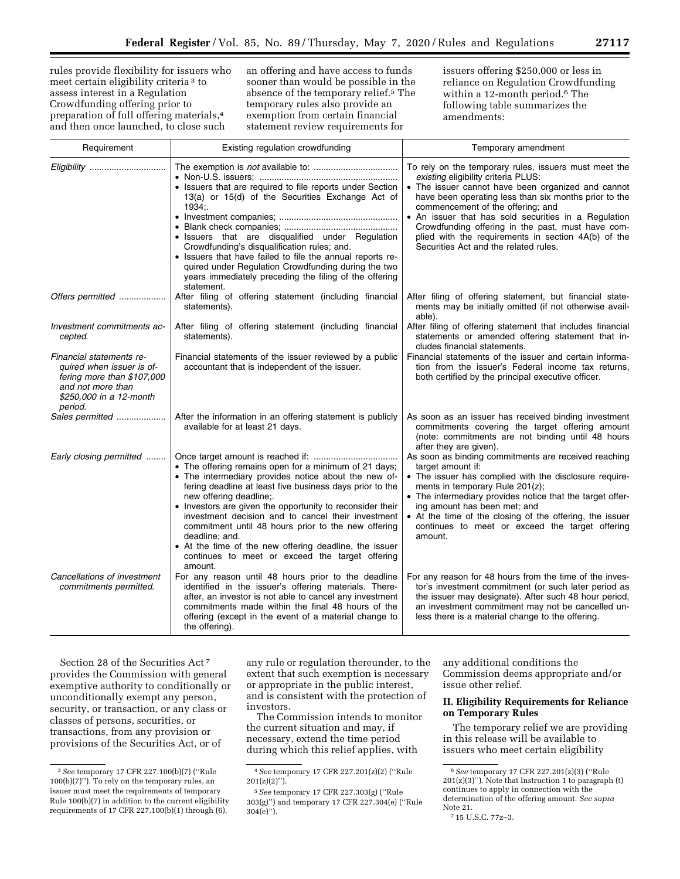rules provide flexibility for issuers who meet certain eligibility criteria 3 to assess interest in a Regulation Crowdfunding offering prior to preparation of full offering materials,4 and then once launched, to close such

an offering and have access to funds sooner than would be possible in the absence of the temporary relief.5 The temporary rules also provide an exemption from certain financial statement review requirements for

issuers offering \$250,000 or less in reliance on Regulation Crowdfunding within a 12-month period.6 The following table summarizes the amendments:

| Requirement                                                                                                                                    | Existing regulation crowdfunding                                                                                                                                                                                                                                                                                                                                                                                                                                                                                         | Temporary amendment                                                                                                                                                                                                                                                                                                                                                                                                                                           |
|------------------------------------------------------------------------------------------------------------------------------------------------|--------------------------------------------------------------------------------------------------------------------------------------------------------------------------------------------------------------------------------------------------------------------------------------------------------------------------------------------------------------------------------------------------------------------------------------------------------------------------------------------------------------------------|---------------------------------------------------------------------------------------------------------------------------------------------------------------------------------------------------------------------------------------------------------------------------------------------------------------------------------------------------------------------------------------------------------------------------------------------------------------|
| Eligibility                                                                                                                                    | • Issuers that are required to file reports under Section<br>13(a) or 15(d) of the Securities Exchange Act of<br>1934;<br>· Issuers that are disqualified under Regulation<br>Crowdfunding's disqualification rules; and.<br>• Issuers that have failed to file the annual reports re-<br>quired under Regulation Crowdfunding during the two<br>years immediately preceding the filing of the offering<br>statement.                                                                                                    | To rely on the temporary rules, issuers must meet the<br>existing eligibility criteria PLUS:<br>• The issuer cannot have been organized and cannot<br>have been operating less than six months prior to the<br>commencement of the offering; and<br>• An issuer that has sold securities in a Regulation<br>Crowdfunding offering in the past, must have com-<br>plied with the requirements in section 4A(b) of the<br>Securities Act and the related rules. |
| Offers permitted                                                                                                                               | After filing of offering statement (including financial<br>statements).                                                                                                                                                                                                                                                                                                                                                                                                                                                  | After filing of offering statement, but financial state-<br>ments may be initially omitted (if not otherwise avail-<br>able).                                                                                                                                                                                                                                                                                                                                 |
| Investment commitments ac-<br>cepted.                                                                                                          | After filing of offering statement (including financial<br>statements).                                                                                                                                                                                                                                                                                                                                                                                                                                                  | After filing of offering statement that includes financial<br>statements or amended offering statement that in-<br>cludes financial statements.                                                                                                                                                                                                                                                                                                               |
| Financial statements re-<br>quired when issuer is of-<br>fering more than \$107,000<br>and not more than<br>\$250,000 in a 12-month<br>period. | Financial statements of the issuer reviewed by a public<br>accountant that is independent of the issuer.                                                                                                                                                                                                                                                                                                                                                                                                                 | Financial statements of the issuer and certain informa-<br>tion from the issuer's Federal income tax returns,<br>both certified by the principal executive officer.                                                                                                                                                                                                                                                                                           |
| Sales permitted                                                                                                                                | After the information in an offering statement is publicly<br>available for at least 21 days.                                                                                                                                                                                                                                                                                                                                                                                                                            | As soon as an issuer has received binding investment<br>commitments covering the target offering amount<br>(note: commitments are not binding until 48 hours<br>after they are given).                                                                                                                                                                                                                                                                        |
| Early closing permitted                                                                                                                        | • The offering remains open for a minimum of 21 days;<br>• The intermediary provides notice about the new of-<br>fering deadline at least five business days prior to the<br>new offering deadline;.<br>• Investors are given the opportunity to reconsider their<br>investment decision and to cancel their investment<br>commitment until 48 hours prior to the new offering<br>deadline; and.<br>• At the time of the new offering deadline, the issuer<br>continues to meet or exceed the target offering<br>amount. | As soon as binding commitments are received reaching<br>target amount if:<br>• The issuer has complied with the disclosure require-<br>ments in temporary Rule 201(z);<br>• The intermediary provides notice that the target offer-<br>ing amount has been met; and<br>• At the time of the closing of the offering, the issuer<br>continues to meet or exceed the target offering<br>amount.                                                                 |
| Cancellations of investment<br>commitments permitted.                                                                                          | For any reason until 48 hours prior to the deadline<br>identified in the issuer's offering materials. There-<br>after, an investor is not able to cancel any investment<br>commitments made within the final 48 hours of the<br>offering (except in the event of a material change to<br>the offering).                                                                                                                                                                                                                  | For any reason for 48 hours from the time of the inves-<br>tor's investment commitment (or such later period as<br>the issuer may designate). After such 48 hour period,<br>an investment commitment may not be cancelled un-<br>less there is a material change to the offering.                                                                                                                                                                             |

Section 28 of the Securities Act 7 provides the Commission with general exemptive authority to conditionally or unconditionally exempt any person, security, or transaction, or any class or classes of persons, securities, or transactions, from any provision or provisions of the Securities Act, or of

any rule or regulation thereunder, to the extent that such exemption is necessary or appropriate in the public interest, and is consistent with the protection of investors.

The Commission intends to monitor the current situation and may, if necessary, extend the time period during which this relief applies, with

any additional conditions the Commission deems appropriate and/or issue other relief.

## **II. Eligibility Requirements for Reliance on Temporary Rules**

The temporary relief we are providing in this release will be available to issuers who meet certain eligibility

<sup>3</sup>*See* temporary 17 CFR 227.100(b)(7) (''Rule 100(b)(7)''). To rely on the temporary rules, an issuer must meet the requirements of temporary Rule 100(b)(7) in addition to the current eligibility requirements of 17 CFR 227.100(b)(1) through (6).

<sup>4</sup>*See* temporary 17 CFR 227.201(z)(2) (''Rule 201(z)(2)'').

<sup>5</sup>*See* temporary 17 CFR 227.303(g) (''Rule 303(g)'') and temporary 17 CFR 227.304(e) (''Rule 304(e)'').

<sup>6</sup>*See* temporary 17 CFR 227.201(z)(3) (''Rule 201(z)(3)''). Note that Instruction 1 to paragraph (t) continues to apply in connection with the determination of the offering amount. *See supra*  Note 21.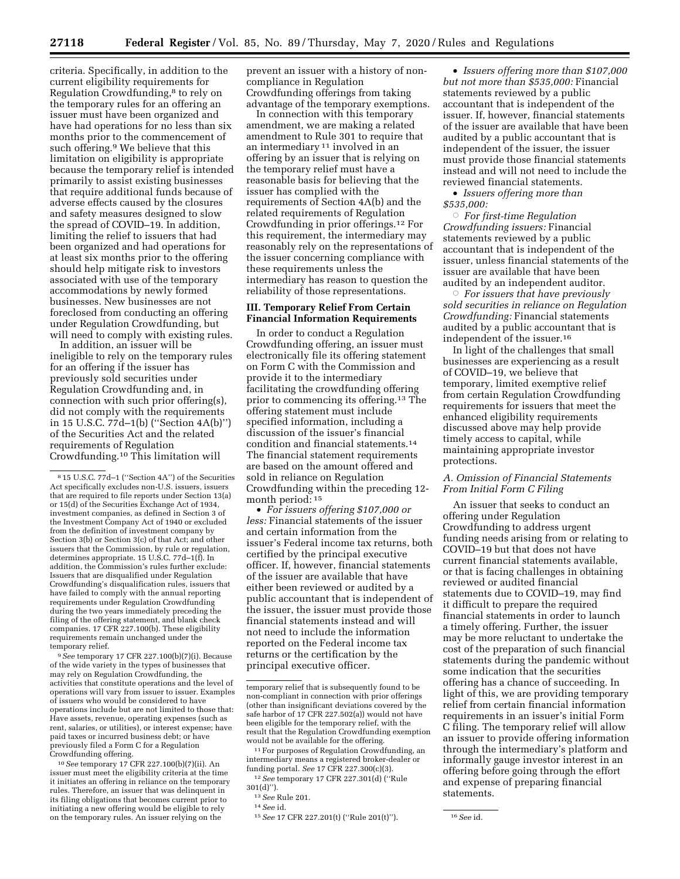criteria. Specifically, in addition to the current eligibility requirements for Regulation Crowdfunding,8 to rely on the temporary rules for an offering an issuer must have been organized and have had operations for no less than six months prior to the commencement of such offering.9 We believe that this limitation on eligibility is appropriate because the temporary relief is intended primarily to assist existing businesses that require additional funds because of adverse effects caused by the closures and safety measures designed to slow the spread of COVID–19. In addition, limiting the relief to issuers that had been organized and had operations for at least six months prior to the offering should help mitigate risk to investors associated with use of the temporary accommodations by newly formed businesses. New businesses are not foreclosed from conducting an offering under Regulation Crowdfunding, but will need to comply with existing rules.

In addition, an issuer will be ineligible to rely on the temporary rules for an offering if the issuer has previously sold securities under Regulation Crowdfunding and, in connection with such prior offering(s), did not comply with the requirements in 15 U.S.C. 77d–1(b) (''Section 4A(b)'') of the Securities Act and the related requirements of Regulation Crowdfunding.10 This limitation will

9*See* temporary 17 CFR 227.100(b)(7)(i). Because of the wide variety in the types of businesses that may rely on Regulation Crowdfunding, the activities that constitute operations and the level of operations will vary from issuer to issuer. Examples of issuers who would be considered to have operations include but are not limited to those that: Have assets, revenue, operating expenses (such as rent, salaries, or utilities), or interest expense; have paid taxes or incurred business debt; or have previously filed a Form C for a Regulation Crowdfunding offering.

10*See* temporary 17 CFR 227.100(b)(7)(ii). An issuer must meet the eligibility criteria at the time it initiates an offering in reliance on the temporary rules. Therefore, an issuer that was delinquent in its filing obligations that becomes current prior to initiating a new offering would be eligible to rely on the temporary rules. An issuer relying on the

prevent an issuer with a history of noncompliance in Regulation Crowdfunding offerings from taking advantage of the temporary exemptions.

In connection with this temporary amendment, we are making a related amendment to Rule 301 to require that an intermediary 11 involved in an offering by an issuer that is relying on the temporary relief must have a reasonable basis for believing that the issuer has complied with the requirements of Section 4A(b) and the related requirements of Regulation Crowdfunding in prior offerings.12 For this requirement, the intermediary may reasonably rely on the representations of the issuer concerning compliance with these requirements unless the intermediary has reason to question the reliability of those representations.

### **III. Temporary Relief From Certain Financial Information Requirements**

In order to conduct a Regulation Crowdfunding offering, an issuer must electronically file its offering statement on Form C with the Commission and provide it to the intermediary facilitating the crowdfunding offering prior to commencing its offering.13 The offering statement must include specified information, including a discussion of the issuer's financial condition and financial statements.14 The financial statement requirements are based on the amount offered and sold in reliance on Regulation Crowdfunding within the preceding 12 month period: 15

• *For issuers offering \$107,000 or less:* Financial statements of the issuer and certain information from the issuer's Federal income tax returns, both certified by the principal executive officer. If, however, financial statements of the issuer are available that have either been reviewed or audited by a public accountant that is independent of the issuer, the issuer must provide those financial statements instead and will not need to include the information reported on the Federal income tax returns or the certification by the principal executive officer.

11For purposes of Regulation Crowdfunding, an intermediary means a registered broker-dealer or funding portal. *See* 17 CFR 227.300(c)(3). 12*See* temporary 17 CFR 227.301(d) (''Rule

301(d)'').

• *Issuers offering more than \$107,000 but not more than \$535,000:* Financial statements reviewed by a public accountant that is independent of the issuer. If, however, financial statements of the issuer are available that have been audited by a public accountant that is independent of the issuer, the issuer must provide those financial statements instead and will not need to include the reviewed financial statements.

• *Issuers offering more than \$535,000:* 

Æ *For first-time Regulation Crowdfunding issuers:* Financial statements reviewed by a public accountant that is independent of the issuer, unless financial statements of the issuer are available that have been audited by an independent auditor.

Æ *For issuers that have previously sold securities in reliance on Regulation Crowdfunding:* Financial statements audited by a public accountant that is independent of the issuer.16

In light of the challenges that small businesses are experiencing as a result of COVID–19, we believe that temporary, limited exemptive relief from certain Regulation Crowdfunding requirements for issuers that meet the enhanced eligibility requirements discussed above may help provide timely access to capital, while maintaining appropriate investor protections.

### *A. Omission of Financial Statements From Initial Form C Filing*

An issuer that seeks to conduct an offering under Regulation Crowdfunding to address urgent funding needs arising from or relating to COVID–19 but that does not have current financial statements available, or that is facing challenges in obtaining reviewed or audited financial statements due to COVID–19, may find it difficult to prepare the required financial statements in order to launch a timely offering. Further, the issuer may be more reluctant to undertake the cost of the preparation of such financial statements during the pandemic without some indication that the securities offering has a chance of succeeding. In light of this, we are providing temporary relief from certain financial information requirements in an issuer's initial Form C filing. The temporary relief will allow an issuer to provide offering information through the intermediary's platform and informally gauge investor interest in an offering before going through the effort and expense of preparing financial statements.

<sup>8</sup> 15 U.S.C. 77d–1 (''Section 4A'') of the Securities Act specifically excludes non-U.S. issuers, issuers that are required to file reports under Section 13(a) or 15(d) of the Securities Exchange Act of 1934, investment companies, as defined in Section 3 of the Investment Company Act of 1940 or excluded from the definition of investment company by Section 3(b) or Section 3(c) of that Act; and other issuers that the Commission, by rule or regulation, determines appropriate. 15 U.S.C. 77d–1(f). In addition, the Commission's rules further exclude: Issuers that are disqualified under Regulation Crowdfunding's disqualification rules, issuers that have failed to comply with the annual reporting requirements under Regulation Crowdfunding during the two years immediately preceding the filing of the offering statement, and blank check companies. 17 CFR 227.100(b). These eligibility requirements remain unchanged under the temporary relief.

temporary relief that is subsequently found to be non-compliant in connection with prior offerings (other than insignificant deviations covered by the safe harbor of 17 CFR 227.502(a)) would not have been eligible for the temporary relief, with the result that the Regulation Crowdfunding exemption would not be available for the offering.

<sup>13</sup>*See* Rule 201.

<sup>14</sup>*See* id.

<sup>15</sup>*See* 17 CFR 227.201(t) (''Rule 201(t)''). 16*See* id.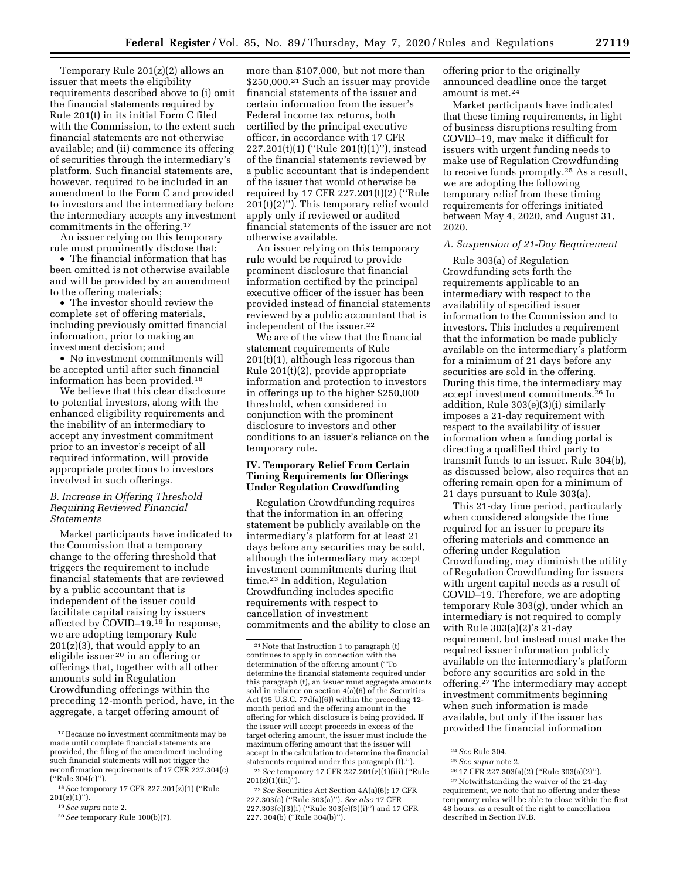Temporary Rule 201(z)(2) allows an issuer that meets the eligibility requirements described above to (i) omit the financial statements required by Rule 201(t) in its initial Form C filed with the Commission, to the extent such financial statements are not otherwise available; and (ii) commence its offering of securities through the intermediary's platform. Such financial statements are, however, required to be included in an amendment to the Form C and provided to investors and the intermediary before the intermediary accepts any investment commitments in the offering.17

An issuer relying on this temporary rule must prominently disclose that:

• The financial information that has been omitted is not otherwise available and will be provided by an amendment to the offering materials;

• The investor should review the complete set of offering materials, including previously omitted financial information, prior to making an investment decision; and

• No investment commitments will be accepted until after such financial information has been provided.18

We believe that this clear disclosure to potential investors, along with the enhanced eligibility requirements and the inability of an intermediary to accept any investment commitment prior to an investor's receipt of all required information, will provide appropriate protections to investors involved in such offerings.

## *B. Increase in Offering Threshold Requiring Reviewed Financial Statements*

Market participants have indicated to the Commission that a temporary change to the offering threshold that triggers the requirement to include financial statements that are reviewed by a public accountant that is independent of the issuer could facilitate capital raising by issuers affected by COVID–19.19 In response, we are adopting temporary Rule  $201(z)(3)$ , that would apply to an eligible issuer 20 in an offering or offerings that, together with all other amounts sold in Regulation Crowdfunding offerings within the preceding 12-month period, have, in the aggregate, a target offering amount of

more than \$107,000, but not more than \$250,000.21 Such an issuer may provide financial statements of the issuer and certain information from the issuer's Federal income tax returns, both certified by the principal executive officer, in accordance with 17 CFR 227.201(t)(1) (''Rule 201(t)(1)''), instead of the financial statements reviewed by a public accountant that is independent of the issuer that would otherwise be required by 17 CFR 227.201(t)(2) (''Rule  $201(t)(2)$ "). This temporary relief would apply only if reviewed or audited financial statements of the issuer are not otherwise available.

An issuer relying on this temporary rule would be required to provide prominent disclosure that financial information certified by the principal executive officer of the issuer has been provided instead of financial statements reviewed by a public accountant that is independent of the issuer.22

We are of the view that the financial statement requirements of Rule 201(t)(1), although less rigorous than Rule 201(t)(2), provide appropriate information and protection to investors in offerings up to the higher \$250,000 threshold, when considered in conjunction with the prominent disclosure to investors and other conditions to an issuer's reliance on the temporary rule.

### **IV. Temporary Relief From Certain Timing Requirements for Offerings Under Regulation Crowdfunding**

Regulation Crowdfunding requires that the information in an offering statement be publicly available on the intermediary's platform for at least 21 days before any securities may be sold, although the intermediary may accept investment commitments during that time.23 In addition, Regulation Crowdfunding includes specific requirements with respect to cancellation of investment commitments and the ability to close an

offering prior to the originally announced deadline once the target amount is met.24

Market participants have indicated that these timing requirements, in light of business disruptions resulting from COVID–19, may make it difficult for issuers with urgent funding needs to make use of Regulation Crowdfunding to receive funds promptly.25 As a result, we are adopting the following temporary relief from these timing requirements for offerings initiated between May 4, 2020, and August 31, 2020.

### *A. Suspension of 21-Day Requirement*

Rule 303(a) of Regulation Crowdfunding sets forth the requirements applicable to an intermediary with respect to the availability of specified issuer information to the Commission and to investors. This includes a requirement that the information be made publicly available on the intermediary's platform for a minimum of 21 days before any securities are sold in the offering. During this time, the intermediary may accept investment commitments.26 In addition, Rule 303(e)(3)(i) similarly imposes a 21-day requirement with respect to the availability of issuer information when a funding portal is directing a qualified third party to transmit funds to an issuer. Rule 304(b), as discussed below, also requires that an offering remain open for a minimum of 21 days pursuant to Rule 303(a).

This 21-day time period, particularly when considered alongside the time required for an issuer to prepare its offering materials and commence an offering under Regulation Crowdfunding, may diminish the utility of Regulation Crowdfunding for issuers with urgent capital needs as a result of COVID–19. Therefore, we are adopting temporary Rule 303(g), under which an intermediary is not required to comply with Rule 303(a)(2)'s 21-day requirement, but instead must make the required issuer information publicly available on the intermediary's platform before any securities are sold in the offering.<sup>27</sup> The intermediary may accept investment commitments beginning when such information is made available, but only if the issuer has provided the financial information

<sup>17</sup>Because no investment commitments may be made until complete financial statements are provided, the filing of the amendment including such financial statements will not trigger the reconfirmation requirements of 17 CFR 227.304(c) (''Rule 304(c)'').

<sup>18</sup>*See* temporary 17 CFR 227.201(z)(1) (''Rule  $201(z)(1)$ ").

<sup>19</sup>*See supra* note 2.

<sup>20</sup>*See* temporary Rule 100(b)(7).

<sup>21</sup>Note that Instruction 1 to paragraph (t) continues to apply in connection with the determination of the offering amount (''To determine the financial statements required under this paragraph (t), an issuer must aggregate amounts sold in reliance on section 4(a)(6) of the Securities Act (15 U.S.C. 77d(a)(6)) within the preceding 12 month period and the offering amount in the offering for which disclosure is being provided. If the issuer will accept proceeds in excess of the target offering amount, the issuer must include the maximum offering amount that the issuer will accept in the calculation to determine the financial statements required under this paragraph (t).''). 22*See* temporary 17 CFR 227.201(z)(1)(iii) (''Rule 201(z)(1)(iii)'').

<sup>23</sup>*See* Securities Act Section 4A(a)(6); 17 CFR 227.303(a) (''Rule 303(a)''). *See also* 17 CFR 227.303(e)(3)(i) (''Rule 303(e)(3)(i)'') and 17 CFR 227. 304(b) (''Rule 304(b)'').

<sup>24</sup>*See* Rule 304.

<sup>25</sup>*See supra* note 2.

<sup>26</sup> 17 CFR 227.303(a)(2) (''Rule 303(a)(2)''). <sup>27</sup> Notwithstanding the waiver of the 21-day requirement, we note that no offering under these temporary rules will be able to close within the first 48 hours, as a result of the right to cancellation described in Section IV.B.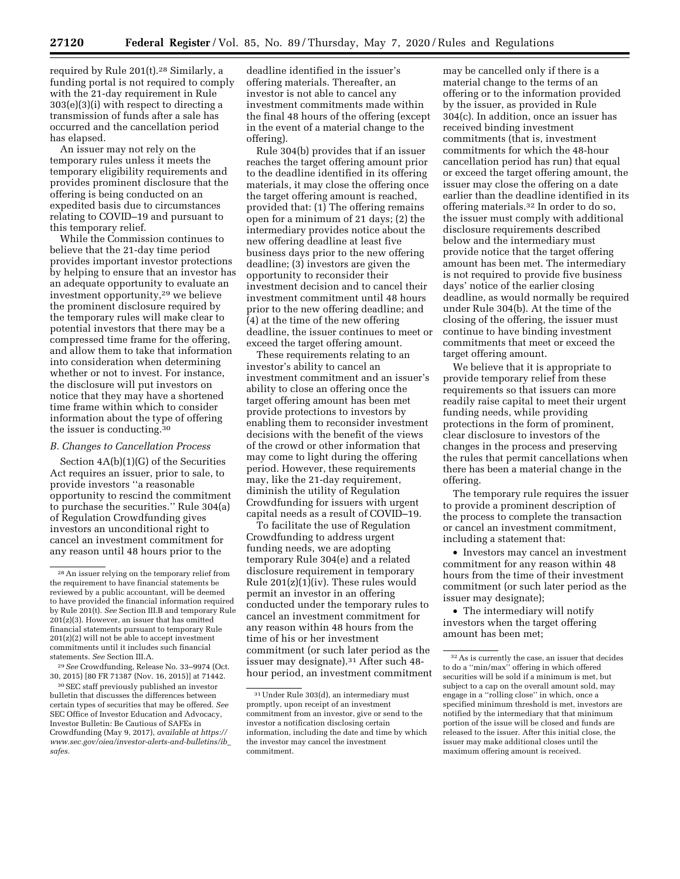required by Rule 201(t).28 Similarly, a funding portal is not required to comply with the 21-day requirement in Rule 303(e)(3)(i) with respect to directing a transmission of funds after a sale has occurred and the cancellation period has elapsed.

An issuer may not rely on the temporary rules unless it meets the temporary eligibility requirements and provides prominent disclosure that the offering is being conducted on an expedited basis due to circumstances relating to COVID–19 and pursuant to this temporary relief.

While the Commission continues to believe that the 21-day time period provides important investor protections by helping to ensure that an investor has an adequate opportunity to evaluate an investment opportunity,29 we believe the prominent disclosure required by the temporary rules will make clear to potential investors that there may be a compressed time frame for the offering, and allow them to take that information into consideration when determining whether or not to invest. For instance, the disclosure will put investors on notice that they may have a shortened time frame within which to consider information about the type of offering the issuer is conducting.30

#### *B. Changes to Cancellation Process*

Section 4A(b)(1)(G) of the Securities Act requires an issuer, prior to sale, to provide investors ''a reasonable opportunity to rescind the commitment to purchase the securities.'' Rule 304(a) of Regulation Crowdfunding gives investors an unconditional right to cancel an investment commitment for any reason until 48 hours prior to the

deadline identified in the issuer's offering materials. Thereafter, an investor is not able to cancel any investment commitments made within the final 48 hours of the offering (except in the event of a material change to the offering).

Rule 304(b) provides that if an issuer reaches the target offering amount prior to the deadline identified in its offering materials, it may close the offering once the target offering amount is reached, provided that: (1) The offering remains open for a minimum of 21 days; (2) the intermediary provides notice about the new offering deadline at least five business days prior to the new offering deadline; (3) investors are given the opportunity to reconsider their investment decision and to cancel their investment commitment until 48 hours prior to the new offering deadline; and (4) at the time of the new offering deadline, the issuer continues to meet or exceed the target offering amount.

These requirements relating to an investor's ability to cancel an investment commitment and an issuer's ability to close an offering once the target offering amount has been met provide protections to investors by enabling them to reconsider investment decisions with the benefit of the views of the crowd or other information that may come to light during the offering period. However, these requirements may, like the 21-day requirement, diminish the utility of Regulation Crowdfunding for issuers with urgent capital needs as a result of COVID–19.

To facilitate the use of Regulation Crowdfunding to address urgent funding needs, we are adopting temporary Rule 304(e) and a related disclosure requirement in temporary Rule 201(z)(1)(iv). These rules would permit an investor in an offering conducted under the temporary rules to cancel an investment commitment for any reason within 48 hours from the time of his or her investment commitment (or such later period as the issuer may designate).31 After such 48 hour period, an investment commitment

may be cancelled only if there is a material change to the terms of an offering or to the information provided by the issuer, as provided in Rule 304(c). In addition, once an issuer has received binding investment commitments (that is, investment commitments for which the 48-hour cancellation period has run) that equal or exceed the target offering amount, the issuer may close the offering on a date earlier than the deadline identified in its offering materials.32 In order to do so, the issuer must comply with additional disclosure requirements described below and the intermediary must provide notice that the target offering amount has been met. The intermediary is not required to provide five business days' notice of the earlier closing deadline, as would normally be required under Rule 304(b). At the time of the closing of the offering, the issuer must continue to have binding investment commitments that meet or exceed the target offering amount.

We believe that it is appropriate to provide temporary relief from these requirements so that issuers can more readily raise capital to meet their urgent funding needs, while providing protections in the form of prominent, clear disclosure to investors of the changes in the process and preserving the rules that permit cancellations when there has been a material change in the offering.

The temporary rule requires the issuer to provide a prominent description of the process to complete the transaction or cancel an investment commitment, including a statement that:

• Investors may cancel an investment commitment for any reason within 48 hours from the time of their investment commitment (or such later period as the issuer may designate);

• The intermediary will notify investors when the target offering amount has been met;

<sup>28</sup>An issuer relying on the temporary relief from the requirement to have financial statements be reviewed by a public accountant, will be deemed to have provided the financial information required by Rule 201(t). *See* Section III.B and temporary Rule 201(z)(3). However, an issuer that has omitted financial statements pursuant to temporary Rule  $201(z)(2)$  will not be able to accept investment commitments until it includes such financial statements. *See* Section III.A.

<sup>29</sup>*See* Crowdfunding, Release No. 33–9974 (Oct. 30, 2015) [80 FR 71387 (Nov. 16, 2015)] at 71442.

<sup>30</sup>SEC staff previously published an investor bulletin that discusses the differences between certain types of securities that may be offered. *See*  SEC Office of Investor Education and Advocacy, Investor Bulletin: Be Cautious of SAFEs in Crowdfunding (May 9, 2017), *available at [https://](https://www.sec.gov/oiea/investor-alerts-and-bulletins/ib_safes) [www.sec.gov/oiea/investor-alerts-and-bulletins/ib](https://www.sec.gov/oiea/investor-alerts-and-bulletins/ib_safes)*\_ *[safes.](https://www.sec.gov/oiea/investor-alerts-and-bulletins/ib_safes)* 

<sup>31</sup>Under Rule 303(d), an intermediary must promptly, upon receipt of an investment commitment from an investor, give or send to the investor a notification disclosing certain information, including the date and time by which the investor may cancel the investment commitment.

 $^{\rm 32}\, \rm As$  is currently the case, an issuer that decides to do a ''min/max'' offering in which offered securities will be sold if a minimum is met, but subject to a cap on the overall amount sold, may engage in a ''rolling close'' in which, once a specified minimum threshold is met, investors are notified by the intermediary that that minimum portion of the issue will be closed and funds are released to the issuer. After this initial close, the issuer may make additional closes until the maximum offering amount is received.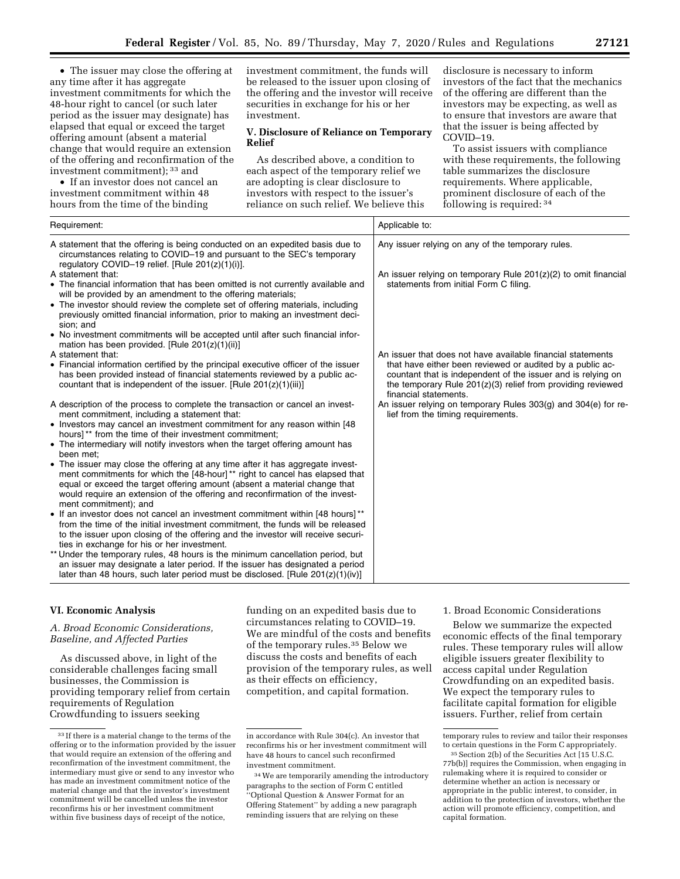• The issuer may close the offering at any time after it has aggregate investment commitments for which the 48-hour right to cancel (or such later period as the issuer may designate) has elapsed that equal or exceed the target offering amount (absent a material change that would require an extension of the offering and reconfirmation of the investment commitment); 33 and

• If an investor does not cancel an investment commitment within 48 hours from the time of the binding

investment commitment, the funds will be released to the issuer upon closing of the offering and the investor will receive securities in exchange for his or her investment.

### **V. Disclosure of Reliance on Temporary Relief**

As described above, a condition to each aspect of the temporary relief we are adopting is clear disclosure to investors with respect to the issuer's reliance on such relief. We believe this

disclosure is necessary to inform investors of the fact that the mechanics of the offering are different than the investors may be expecting, as well as to ensure that investors are aware that that the issuer is being affected by COVID–19.

To assist issuers with compliance with these requirements, the following table summarizes the disclosure requirements. Where applicable, prominent disclosure of each of the following is required: 34

| Applicable to:                                                                                                                                                                                                                                                                                                                                       |  |
|------------------------------------------------------------------------------------------------------------------------------------------------------------------------------------------------------------------------------------------------------------------------------------------------------------------------------------------------------|--|
| Any issuer relying on any of the temporary rules.<br>An issuer relying on temporary Rule $201(z)(2)$ to omit financial<br>statements from initial Form C filing.                                                                                                                                                                                     |  |
| An issuer that does not have available financial statements<br>that have either been reviewed or audited by a public ac-<br>countant that is independent of the issuer and is relying on<br>the temporary Rule $201(z)(3)$ relief from providing reviewed<br>financial statements.<br>An issuer relying on temporary Rules 303(g) and 304(e) for re- |  |
| lief from the timing requirements.                                                                                                                                                                                                                                                                                                                   |  |
|                                                                                                                                                                                                                                                                                                                                                      |  |

## **VI. Economic Analysis**

## *A. Broad Economic Considerations, Baseline, and Affected Parties*

As discussed above, in light of the considerable challenges facing small businesses, the Commission is providing temporary relief from certain requirements of Regulation Crowdfunding to issuers seeking

funding on an expedited basis due to circumstances relating to COVID–19. We are mindful of the costs and benefits of the temporary rules.35 Below we discuss the costs and benefits of each provision of the temporary rules, as well as their effects on efficiency, competition, and capital formation.

## 1. Broad Economic Considerations

Below we summarize the expected economic effects of the final temporary rules. These temporary rules will allow eligible issuers greater flexibility to access capital under Regulation Crowdfunding on an expedited basis. We expect the temporary rules to facilitate capital formation for eligible issuers. Further, relief from certain

<sup>33</sup> If there is a material change to the terms of the offering or to the information provided by the issuer that would require an extension of the offering and reconfirmation of the investment commitment, the intermediary must give or send to any investor who has made an investment commitment notice of the material change and that the investor's investment commitment will be cancelled unless the investor reconfirms his or her investment commitment within five business days of receipt of the notice,

in accordance with Rule 304(c). An investor that reconfirms his or her investment commitment will have 48 hours to cancel such reconfirmed investment commitment.

<sup>34</sup>We are temporarily amending the introductory paragraphs to the section of Form C entitled ''Optional Question & Answer Format for an Offering Statement'' by adding a new paragraph reminding issuers that are relying on these

temporary rules to review and tailor their responses to certain questions in the Form C appropriately.

<sup>35</sup>Section 2(b) of the Securities Act [15 U.S.C. 77b(b)] requires the Commission, when engaging in rulemaking where it is required to consider or determine whether an action is necessary or appropriate in the public interest, to consider, in addition to the protection of investors, whether the action will promote efficiency, competition, and capital formation.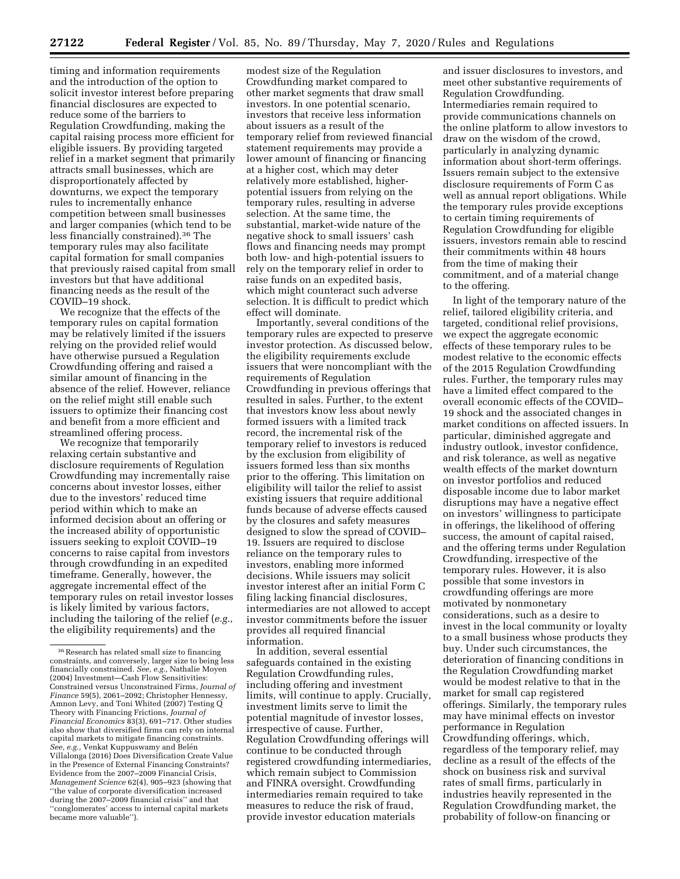timing and information requirements and the introduction of the option to solicit investor interest before preparing financial disclosures are expected to reduce some of the barriers to Regulation Crowdfunding, making the capital raising process more efficient for eligible issuers. By providing targeted relief in a market segment that primarily attracts small businesses, which are disproportionately affected by downturns, we expect the temporary rules to incrementally enhance competition between small businesses and larger companies (which tend to be less financially constrained).36 The temporary rules may also facilitate capital formation for small companies that previously raised capital from small investors but that have additional financing needs as the result of the COVID–19 shock.

We recognize that the effects of the temporary rules on capital formation may be relatively limited if the issuers relying on the provided relief would have otherwise pursued a Regulation Crowdfunding offering and raised a similar amount of financing in the absence of the relief. However, reliance on the relief might still enable such issuers to optimize their financing cost and benefit from a more efficient and streamlined offering process.

We recognize that temporarily relaxing certain substantive and disclosure requirements of Regulation Crowdfunding may incrementally raise concerns about investor losses, either due to the investors' reduced time period within which to make an informed decision about an offering or the increased ability of opportunistic issuers seeking to exploit COVID–19 concerns to raise capital from investors through crowdfunding in an expedited timeframe. Generally, however, the aggregate incremental effect of the temporary rules on retail investor losses is likely limited by various factors, including the tailoring of the relief (*e.g.,*  the eligibility requirements) and the

modest size of the Regulation Crowdfunding market compared to other market segments that draw small investors. In one potential scenario, investors that receive less information about issuers as a result of the temporary relief from reviewed financial statement requirements may provide a lower amount of financing or financing at a higher cost, which may deter relatively more established, higherpotential issuers from relying on the temporary rules, resulting in adverse selection. At the same time, the substantial, market-wide nature of the negative shock to small issuers' cash flows and financing needs may prompt both low- and high-potential issuers to rely on the temporary relief in order to raise funds on an expedited basis, which might counteract such adverse selection. It is difficult to predict which effect will dominate.

Importantly, several conditions of the temporary rules are expected to preserve investor protection. As discussed below, the eligibility requirements exclude issuers that were noncompliant with the requirements of Regulation Crowdfunding in previous offerings that resulted in sales. Further, to the extent that investors know less about newly formed issuers with a limited track record, the incremental risk of the temporary relief to investors is reduced by the exclusion from eligibility of issuers formed less than six months prior to the offering. This limitation on eligibility will tailor the relief to assist existing issuers that require additional funds because of adverse effects caused by the closures and safety measures designed to slow the spread of COVID– 19. Issuers are required to disclose reliance on the temporary rules to investors, enabling more informed decisions. While issuers may solicit investor interest after an initial Form C filing lacking financial disclosures, intermediaries are not allowed to accept investor commitments before the issuer provides all required financial information.

In addition, several essential safeguards contained in the existing Regulation Crowdfunding rules, including offering and investment limits, will continue to apply. Crucially, investment limits serve to limit the potential magnitude of investor losses, irrespective of cause. Further, Regulation Crowdfunding offerings will continue to be conducted through registered crowdfunding intermediaries, which remain subject to Commission and FINRA oversight. Crowdfunding intermediaries remain required to take measures to reduce the risk of fraud, provide investor education materials

and issuer disclosures to investors, and meet other substantive requirements of Regulation Crowdfunding. Intermediaries remain required to provide communications channels on the online platform to allow investors to draw on the wisdom of the crowd, particularly in analyzing dynamic information about short-term offerings. Issuers remain subject to the extensive disclosure requirements of Form C as well as annual report obligations. While the temporary rules provide exceptions to certain timing requirements of Regulation Crowdfunding for eligible issuers, investors remain able to rescind their commitments within 48 hours from the time of making their commitment, and of a material change to the offering.

In light of the temporary nature of the relief, tailored eligibility criteria, and targeted, conditional relief provisions, we expect the aggregate economic effects of these temporary rules to be modest relative to the economic effects of the 2015 Regulation Crowdfunding rules. Further, the temporary rules may have a limited effect compared to the overall economic effects of the COVID– 19 shock and the associated changes in market conditions on affected issuers. In particular, diminished aggregate and industry outlook, investor confidence, and risk tolerance, as well as negative wealth effects of the market downturn on investor portfolios and reduced disposable income due to labor market disruptions may have a negative effect on investors' willingness to participate in offerings, the likelihood of offering success, the amount of capital raised, and the offering terms under Regulation Crowdfunding, irrespective of the temporary rules. However, it is also possible that some investors in crowdfunding offerings are more motivated by nonmonetary considerations, such as a desire to invest in the local community or loyalty to a small business whose products they buy. Under such circumstances, the deterioration of financing conditions in the Regulation Crowdfunding market would be modest relative to that in the market for small cap registered offerings. Similarly, the temporary rules may have minimal effects on investor performance in Regulation Crowdfunding offerings, which, regardless of the temporary relief, may decline as a result of the effects of the shock on business risk and survival rates of small firms, particularly in industries heavily represented in the Regulation Crowdfunding market, the probability of follow-on financing or

 $^{\rm 36}\!$  Research has related small size to financing constraints, and conversely, larger size to being less financially constrained. *See, e.g.,* Nathalie Moyen (2004) Investment—Cash Flow Sensitivities: Constrained versus Unconstrained Firms, *Journal of Finance* 59(5), 2061–2092; Christopher Hennessy, Amnon Levy, and Toni Whited (2007) Testing  $\dot{Q}$ Theory with Financing Frictions, *Journal of Financial Economics* 83(3), 691–717. Other studies also show that diversified firms can rely on internal capital markets to mitigate financing constraints.  $See, e.g.,$  Venkat Kuppuswamy and Belén Villalonga (2016) Does Diversification Create Value in the Presence of External Financing Constraints? Evidence from the 2007–2009 Financial Crisis, *Management Science* 62(4), 905–923 (showing that ''the value of corporate diversification increased during the 2007–2009 financial crisis'' and that ''conglomerates' access to internal capital markets became more valuable'').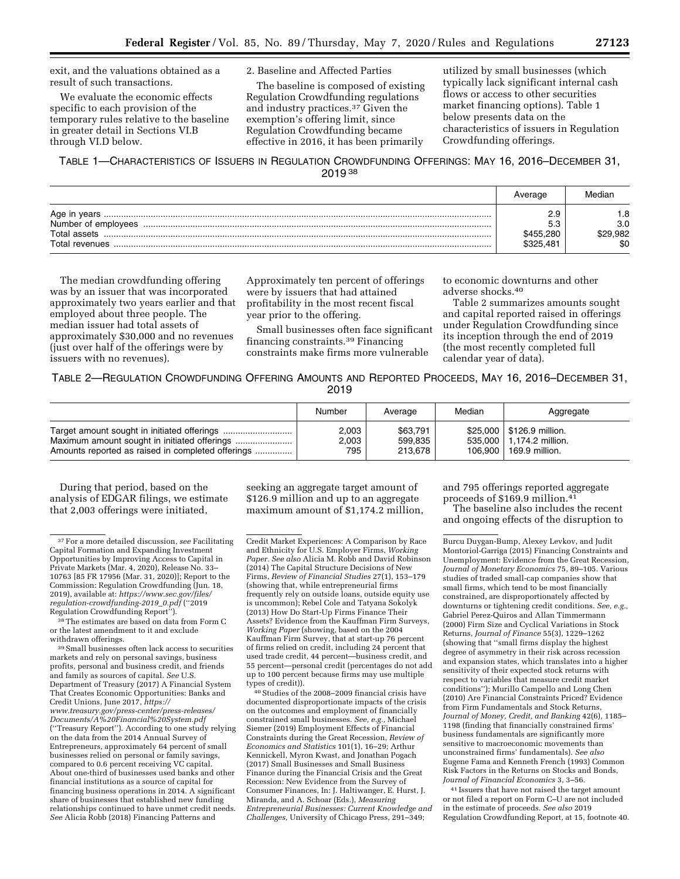exit, and the valuations obtained as a result of such transactions.

We evaluate the economic effects specific to each provision of the temporary rules relative to the baseline in greater detail in Sections VI.B through VI.D below.

#### 2. Baseline and Affected Parties

The baseline is composed of existing Regulation Crowdfunding regulations and industry practices.37 Given the exemption's offering limit, since Regulation Crowdfunding became effective in 2016, it has been primarily

utilized by small businesses (which typically lack significant internal cash flows or access to other securities market financing options). Table 1 below presents data on the characteristics of issuers in Regulation Crowdfunding offerings.

## TABLE 1—CHARACTERISTICS OF ISSUERS IN REGULATION CROWDFUNDING OFFERINGS: MAY 16, 2016–DECEMBER 31, 2019 38

|                                | Average                | Median                     |
|--------------------------------|------------------------|----------------------------|
| Total assets<br>Total revenues | \$455.280<br>\$325.481 | .8<br>3.0<br>29.982<br>\$0 |

The median crowdfunding offering was by an issuer that was incorporated approximately two years earlier and that employed about three people. The median issuer had total assets of approximately \$30,000 and no revenues (just over half of the offerings were by issuers with no revenues).

Approximately ten percent of offerings were by issuers that had attained profitability in the most recent fiscal year prior to the offering.

Small businesses often face significant financing constraints.39 Financing constraints make firms more vulnerable

to economic downturns and other adverse shocks.40

Table 2 summarizes amounts sought and capital reported raised in offerings under Regulation Crowdfunding since its inception through the end of 2019 (the most recently completed full calendar year of data).

TABLE 2—REGULATION CROWDFUNDING OFFERING AMOUNTS AND REPORTED PROCEEDS, MAY 16, 2016–DECEMBER 31, 2019

|                                                   | Number | Average  | Median | Aggregate                   |
|---------------------------------------------------|--------|----------|--------|-----------------------------|
|                                                   | 2,003  | \$63.791 |        | \$25,000   \$126.9 million. |
|                                                   | 2.003  | 599.835  |        | 535,000   1.174.2 million.  |
| Amounts reported as raised in completed offerings | 795    | 213.678  |        | 106.900   169.9 million.    |

During that period, based on the analysis of EDGAR filings, we estimate that 2,003 offerings were initiated,

<sup>38</sup>The estimates are based on data from Form C or the latest amendment to it and exclude withdrawn offerings.

39Small businesses often lack access to securities markets and rely on personal savings, business profits, personal and business credit, and friends and family as sources of capital. *See* U.S. Department of Treasury (2017) A Financial System That Creates Economic Opportunities: Banks and Credit Unions, June 2017, *[https://](https://www.treasury.gov/press-center/press-releases/Documents/A%20Financial%20System.pdf) [www.treasury.gov/press-center/press-releases/](https://www.treasury.gov/press-center/press-releases/Documents/A%20Financial%20System.pdf)  [Documents/A%20Financial%20System.pdf](https://www.treasury.gov/press-center/press-releases/Documents/A%20Financial%20System.pdf)*  (''Treasury Report''). According to one study relying on the data from the 2014 Annual Survey of Entrepreneurs, approximately 64 percent of small businesses relied on personal or family savings, compared to 0.6 percent receiving VC capital. About one-third of businesses used banks and other financial institutions as a source of capital for financing business operations in 2014. A significant share of businesses that established new funding relationships continued to have unmet credit needs. *See* Alicia Robb (2018) Financing Patterns and

seeking an aggregate target amount of \$126.9 million and up to an aggregate maximum amount of \$1,174.2 million,

Credit Market Experiences: A Comparison by Race and Ethnicity for U.S. Employer Firms, *Working Paper. See also* Alicia M. Robb and David Robinson (2014) The Capital Structure Decisions of New Firms, *Review of Financial Studies* 27(1), 153–179 (showing that, while entrepreneurial firms frequently rely on outside loans, outside equity use is uncommon); Rebel Cole and Tatyana Sokolyk (2013) How Do Start-Up Firms Finance Their Assets? Evidence from the Kauffman Firm Surveys, *Working Paper* (showing, based on the 2004 Kauffman Firm Survey, that at start-up 76 percent of firms relied on credit, including 24 percent that used trade credit, 44 percent—business credit, and 55 percent—personal credit (percentages do not add up to 100 percent because firms may use multiple types of credit)).

40Studies of the 2008–2009 financial crisis have documented disproportionate impacts of the crisis on the outcomes and employment of financially constrained small businesses. *See, e.g.,* Michael Siemer (2019) Employment Effects of Financial Constraints during the Great Recession, *Review of Economics and Statistics* 101(1), 16–29; Arthur Kennickell, Myron Kwast, and Jonathan Pogach (2017) Small Businesses and Small Business Finance during the Financial Crisis and the Great Recession: New Evidence from the Survey of Consumer Finances, In: J. Haltiwanger, E. Hurst, J. Miranda, and A. Schoar (Eds.), *Measuring Entrepreneurial Businesses: Current Knowledge and Challenges,* University of Chicago Press, 291–349;

and 795 offerings reported aggregate proceeds of \$169.9 million.41

The baseline also includes the recent and ongoing effects of the disruption to

Burcu Duygan-Bump, Alexey Levkov, and Judit Montoriol-Garriga (2015) Financing Constraints and Unemployment: Evidence from the Great Recession, *Journal of Monetary Economics* 75, 89–105. Various studies of traded small-cap companies show that small firms, which tend to be most financially constrained, are disproportionately affected by downturns or tightening credit conditions. *See, e.g.,*  Gabriel Perez-Quiros and Allan Timmermann (2000) Firm Size and Cyclical Variations in Stock Returns, *Journal of Finance* 55(3), 1229–1262 (showing that ''small firms display the highest degree of asymmetry in their risk across recession and expansion states, which translates into a higher sensitivity of their expected stock returns with respect to variables that measure credit market conditions''); Murillo Campello and Long Chen (2010) Are Financial Constraints Priced? Evidence from Firm Fundamentals and Stock Returns, *Journal of Money, Credit, and Banking* 42(6), 1185– 1198 (finding that financially constrained firms' business fundamentals are significantly more sensitive to macroeconomic movements than unconstrained firms' fundamentals). *See also*  Eugene Fama and Kenneth French (1993) Common Risk Factors in the Returns on Stocks and Bonds, *Journal of Financial Economics* 3, 3–56.

41 Issuers that have not raised the target amount or not filed a report on Form C–U are not included in the estimate of proceeds. *See also* 2019 Regulation Crowdfunding Report, at 15, footnote 40.

<sup>37</sup>For a more detailed discussion, *see* Facilitating Capital Formation and Expanding Investment Opportunities by Improving Access to Capital in Private Markets (Mar. 4, 2020), Release No. 33-10763 [85 FR 17956 (Mar. 31, 2020)]; Report to the Commission: Regulation Crowdfunding (Jun. 18, 2019), available at: *[https://www.sec.gov/files/](https://www.sec.gov/files/regulation-crowdfunding-2019_0.pdf)  [regulation-crowdfunding-2019](https://www.sec.gov/files/regulation-crowdfunding-2019_0.pdf)*\_*0.pdf* (''2019 Regulation Crowdfunding Report'').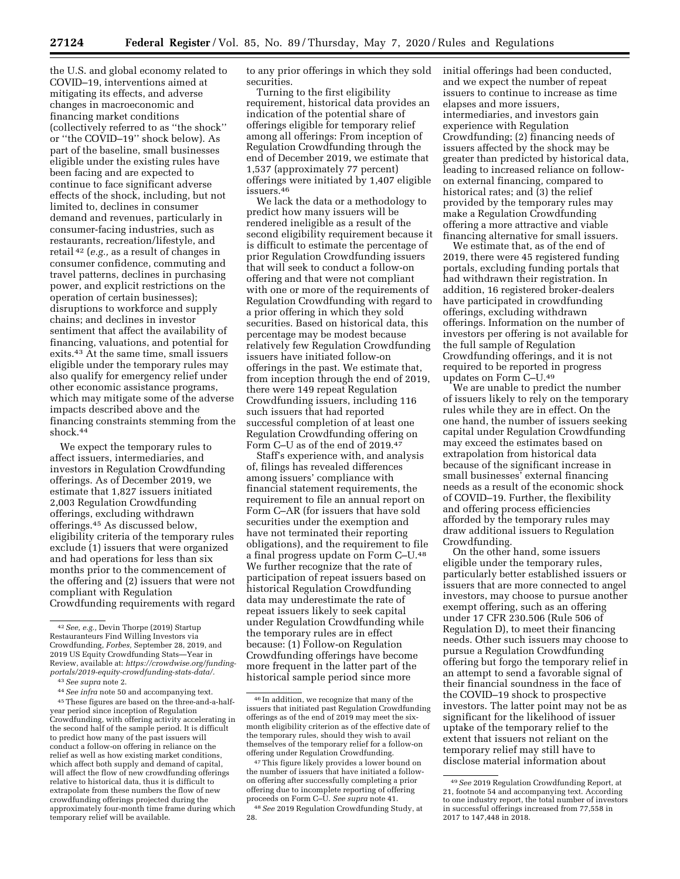the U.S. and global economy related to COVID–19, interventions aimed at mitigating its effects, and adverse changes in macroeconomic and financing market conditions (collectively referred to as ''the shock'' or ''the COVID–19'' shock below). As part of the baseline, small businesses eligible under the existing rules have been facing and are expected to continue to face significant adverse effects of the shock, including, but not limited to, declines in consumer demand and revenues, particularly in consumer-facing industries, such as restaurants, recreation/lifestyle, and retail 42 (*e.g.,* as a result of changes in consumer confidence, commuting and travel patterns, declines in purchasing power, and explicit restrictions on the operation of certain businesses); disruptions to workforce and supply chains; and declines in investor sentiment that affect the availability of financing, valuations, and potential for exits.43 At the same time, small issuers eligible under the temporary rules may also qualify for emergency relief under other economic assistance programs, which may mitigate some of the adverse impacts described above and the financing constraints stemming from the shock.44

We expect the temporary rules to affect issuers, intermediaries, and investors in Regulation Crowdfunding offerings. As of December 2019, we estimate that 1,827 issuers initiated 2,003 Regulation Crowdfunding offerings, excluding withdrawn offerings.45 As discussed below, eligibility criteria of the temporary rules exclude (1) issuers that were organized and had operations for less than six months prior to the commencement of the offering and (2) issuers that were not compliant with Regulation Crowdfunding requirements with regard

44*See infra* note 50 and accompanying text. 45These figures are based on the three-and-a-halfyear period since inception of Regulation Crowdfunding, with offering activity accelerating in the second half of the sample period. It is difficult to predict how many of the past issuers will conduct a follow-on offering in reliance on the relief as well as how existing market conditions, which affect both supply and demand of capital, will affect the flow of new crowdfunding offerings relative to historical data, thus it is difficult to extrapolate from these numbers the flow of new crowdfunding offerings projected during the approximately four-month time frame during which temporary relief will be available.

to any prior offerings in which they sold securities.

Turning to the first eligibility requirement, historical data provides an indication of the potential share of offerings eligible for temporary relief among all offerings: From inception of Regulation Crowdfunding through the end of December 2019, we estimate that 1,537 (approximately 77 percent) offerings were initiated by 1,407 eligible issuers.46

We lack the data or a methodology to predict how many issuers will be rendered ineligible as a result of the second eligibility requirement because it is difficult to estimate the percentage of prior Regulation Crowdfunding issuers that will seek to conduct a follow-on offering and that were not compliant with one or more of the requirements of Regulation Crowdfunding with regard to a prior offering in which they sold securities. Based on historical data, this percentage may be modest because relatively few Regulation Crowdfunding issuers have initiated follow-on offerings in the past. We estimate that, from inception through the end of 2019, there were 149 repeat Regulation Crowdfunding issuers, including 116 such issuers that had reported successful completion of at least one Regulation Crowdfunding offering on Form C-U as of the end of 2019.<sup>47</sup>

Staff's experience with, and analysis of, filings has revealed differences among issuers' compliance with financial statement requirements, the requirement to file an annual report on Form C–AR (for issuers that have sold securities under the exemption and have not terminated their reporting obligations), and the requirement to file a final progress update on Form C–U.48 We further recognize that the rate of participation of repeat issuers based on historical Regulation Crowdfunding data may underestimate the rate of repeat issuers likely to seek capital under Regulation Crowdfunding while the temporary rules are in effect because: (1) Follow-on Regulation Crowdfunding offerings have become more frequent in the latter part of the historical sample period since more

initial offerings had been conducted, and we expect the number of repeat issuers to continue to increase as time elapses and more issuers, intermediaries, and investors gain experience with Regulation Crowdfunding; (2) financing needs of issuers affected by the shock may be greater than predicted by historical data, leading to increased reliance on followon external financing, compared to historical rates; and (3) the relief provided by the temporary rules may make a Regulation Crowdfunding offering a more attractive and viable financing alternative for small issuers.

We estimate that, as of the end of 2019, there were 45 registered funding portals, excluding funding portals that had withdrawn their registration. In addition, 16 registered broker-dealers have participated in crowdfunding offerings, excluding withdrawn offerings. Information on the number of investors per offering is not available for the full sample of Regulation Crowdfunding offerings, and it is not required to be reported in progress updates on Form C–U.49

We are unable to predict the number of issuers likely to rely on the temporary rules while they are in effect. On the one hand, the number of issuers seeking capital under Regulation Crowdfunding may exceed the estimates based on extrapolation from historical data because of the significant increase in small businesses' external financing needs as a result of the economic shock of COVID–19. Further, the flexibility and offering process efficiencies afforded by the temporary rules may draw additional issuers to Regulation Crowdfunding.

On the other hand, some issuers eligible under the temporary rules, particularly better established issuers or issuers that are more connected to angel investors, may choose to pursue another exempt offering, such as an offering under 17 CFR 230.506 (Rule 506 of Regulation D), to meet their financing needs. Other such issuers may choose to pursue a Regulation Crowdfunding offering but forgo the temporary relief in an attempt to send a favorable signal of their financial soundness in the face of the COVID–19 shock to prospective investors. The latter point may not be as significant for the likelihood of issuer uptake of the temporary relief to the extent that issuers not reliant on the temporary relief may still have to disclose material information about

<sup>42</sup>*See, e.g.,* Devin Thorpe (2019) Startup Restauranteurs Find Willing Investors via Crowdfunding, *Forbes,* September 28, 2019, and 2019 US Equity Crowdfunding Stats—Year in Review, available at: *[https://crowdwise.org/funding](https://crowdwise.org/funding-portals/2019-equity-crowdfunding-stats-data/)[portals/2019-equity-crowdfunding-stats-data/.](https://crowdwise.org/funding-portals/2019-equity-crowdfunding-stats-data/)* 

<sup>43</sup>*See supra* note 2.

<sup>46</sup> In addition, we recognize that many of the issuers that initiated past Regulation Crowdfunding offerings as of the end of 2019 may meet the sixmonth eligibility criterion as of the effective date of the temporary rules, should they wish to avail themselves of the temporary relief for a follow-on offering under Regulation Crowdfunding.

<sup>47</sup>This figure likely provides a lower bound on the number of issuers that have initiated a followon offering after successfully completing a prior offering due to incomplete reporting of offering proceeds on Form C–U. *See supra* note 41.

<sup>48</sup>*See* 2019 Regulation Crowdfunding Study, at 28.

<sup>49</sup>*See* 2019 Regulation Crowdfunding Report, at 21, footnote 54 and accompanying text. According to one industry report, the total number of investors in successful offerings increased from 77,558 in 2017 to 147,448 in 2018.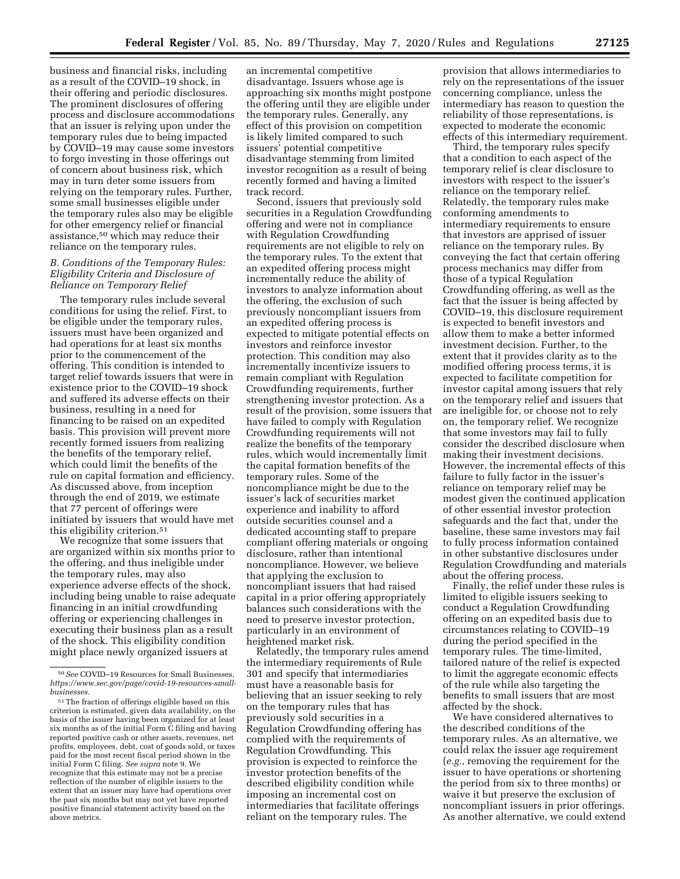business and financial risks, including as a result of the COVID–19 shock, in their offering and periodic disclosures. The prominent disclosures of offering process and disclosure accommodations that an issuer is relying upon under the temporary rules due to being impacted by COVID–19 may cause some investors to forgo investing in those offerings out of concern about business risk, which may in turn deter some issuers from relying on the temporary rules. Further, some small businesses eligible under the temporary rules also may be eligible for other emergency relief or financial assistance,50 which may reduce their reliance on the temporary rules.

# *B. Conditions of the Temporary Rules: Eligibility Criteria and Disclosure of Reliance on Temporary Relief*

The temporary rules include several conditions for using the relief. First, to be eligible under the temporary rules, issuers must have been organized and had operations for at least six months prior to the commencement of the offering. This condition is intended to target relief towards issuers that were in existence prior to the COVID–19 shock and suffered its adverse effects on their business, resulting in a need for financing to be raised on an expedited basis. This provision will prevent more recently formed issuers from realizing the benefits of the temporary relief, which could limit the benefits of the rule on capital formation and efficiency. As discussed above, from inception through the end of 2019, we estimate that 77 percent of offerings were initiated by issuers that would have met this eligibility criterion.51

We recognize that some issuers that are organized within six months prior to the offering, and thus ineligible under the temporary rules, may also experience adverse effects of the shock, including being unable to raise adequate financing in an initial crowdfunding offering or experiencing challenges in executing their business plan as a result of the shock. This eligibility condition might place newly organized issuers at

an incremental competitive disadvantage. Issuers whose age is approaching six months might postpone the offering until they are eligible under the temporary rules. Generally, any effect of this provision on competition is likely limited compared to such issuers' potential competitive disadvantage stemming from limited investor recognition as a result of being recently formed and having a limited track record.

Second, issuers that previously sold securities in a Regulation Crowdfunding offering and were not in compliance with Regulation Crowdfunding requirements are not eligible to rely on the temporary rules. To the extent that an expedited offering process might incrementally reduce the ability of investors to analyze information about the offering, the exclusion of such previously noncompliant issuers from an expedited offering process is expected to mitigate potential effects on investors and reinforce investor protection. This condition may also incrementally incentivize issuers to remain compliant with Regulation Crowdfunding requirements, further strengthening investor protection. As a result of the provision, some issuers that have failed to comply with Regulation Crowdfunding requirements will not realize the benefits of the temporary rules, which would incrementally limit the capital formation benefits of the temporary rules. Some of the noncompliance might be due to the issuer's lack of securities market experience and inability to afford outside securities counsel and a dedicated accounting staff to prepare compliant offering materials or ongoing disclosure, rather than intentional noncompliance. However, we believe that applying the exclusion to noncompliant issuers that had raised capital in a prior offering appropriately balances such considerations with the need to preserve investor protection, particularly in an environment of heightened market risk.

Relatedly, the temporary rules amend the intermediary requirements of Rule 301 and specify that intermediaries must have a reasonable basis for believing that an issuer seeking to rely on the temporary rules that has previously sold securities in a Regulation Crowdfunding offering has complied with the requirements of Regulation Crowdfunding. This provision is expected to reinforce the investor protection benefits of the described eligibility condition while imposing an incremental cost on intermediaries that facilitate offerings reliant on the temporary rules. The

provision that allows intermediaries to rely on the representations of the issuer concerning compliance, unless the intermediary has reason to question the reliability of those representations, is expected to moderate the economic effects of this intermediary requirement.

Third, the temporary rules specify that a condition to each aspect of the temporary relief is clear disclosure to investors with respect to the issuer's reliance on the temporary relief. Relatedly, the temporary rules make conforming amendments to intermediary requirements to ensure that investors are apprised of issuer reliance on the temporary rules. By conveying the fact that certain offering process mechanics may differ from those of a typical Regulation Crowdfunding offering, as well as the fact that the issuer is being affected by COVID–19, this disclosure requirement is expected to benefit investors and allow them to make a better informed investment decision. Further, to the extent that it provides clarity as to the modified offering process terms, it is expected to facilitate competition for investor capital among issuers that rely on the temporary relief and issuers that are ineligible for, or choose not to rely on, the temporary relief. We recognize that some investors may fail to fully consider the described disclosure when making their investment decisions. However, the incremental effects of this failure to fully factor in the issuer's reliance on temporary relief may be modest given the continued application of other essential investor protection safeguards and the fact that, under the baseline, these same investors may fail to fully process information contained in other substantive disclosures under Regulation Crowdfunding and materials about the offering process.

Finally, the relief under these rules is limited to eligible issuers seeking to conduct a Regulation Crowdfunding offering on an expedited basis due to circumstances relating to COVID–19 during the period specified in the temporary rules. The time-limited, tailored nature of the relief is expected to limit the aggregate economic effects of the rule while also targeting the benefits to small issuers that are most affected by the shock.

We have considered alternatives to the described conditions of the temporary rules. As an alternative, we could relax the issuer age requirement (*e.g.,* removing the requirement for the issuer to have operations or shortening the period from six to three months) or waive it but preserve the exclusion of noncompliant issuers in prior offerings. As another alternative, we could extend

<sup>50</sup>*See* COVID–19 Resources for Small Businesses, *[https://www.sec.gov/page/covid-19-resources-small](https://www.sec.gov/page/covid-19-resources-small-businesses)[businesses.](https://www.sec.gov/page/covid-19-resources-small-businesses)* 

 $^{\rm 51}\rm{The\ fraction}$  of offerings eligible based on this criterion is estimated, given data availability, on the basis of the issuer having been organized for at least six months as of the initial Form C filing and having reported positive cash or other assets, revenues, net profits, employees, debt, cost of goods sold, or taxes paid for the most recent fiscal period shown in the initial Form C filing. *See supra* note 9. We recognize that this estimate may not be a precise reflection of the number of eligible issuers to the extent that an issuer may have had operations over the past six months but may not yet have reported positive financial statement activity based on the above metrics.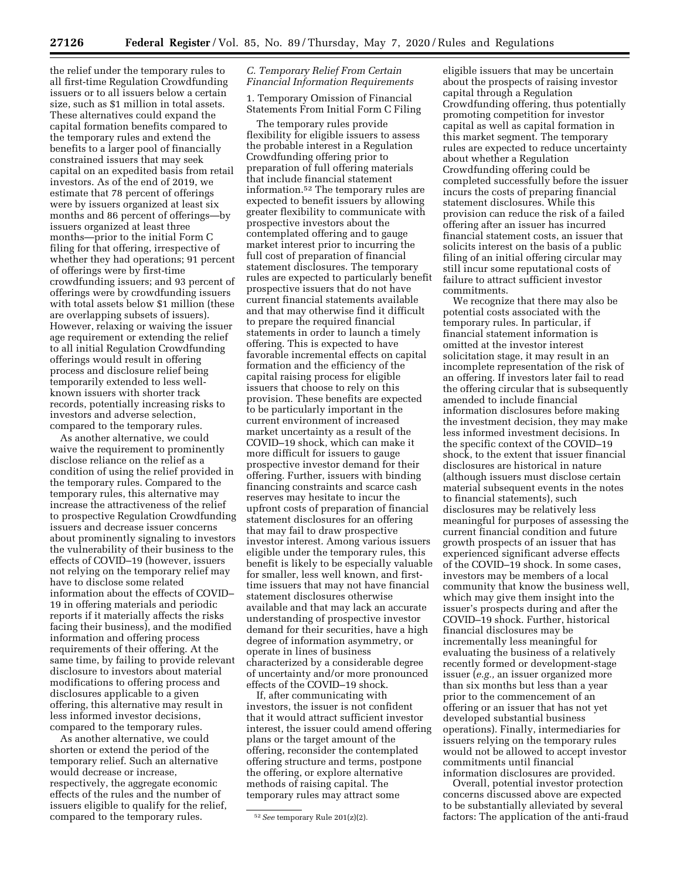the relief under the temporary rules to all first-time Regulation Crowdfunding issuers or to all issuers below a certain size, such as \$1 million in total assets. These alternatives could expand the capital formation benefits compared to the temporary rules and extend the benefits to a larger pool of financially constrained issuers that may seek capital on an expedited basis from retail investors. As of the end of 2019, we estimate that 78 percent of offerings were by issuers organized at least six months and 86 percent of offerings—by issuers organized at least three months—prior to the initial Form C filing for that offering, irrespective of whether they had operations; 91 percent of offerings were by first-time crowdfunding issuers; and 93 percent of offerings were by crowdfunding issuers with total assets below \$1 million (these are overlapping subsets of issuers). However, relaxing or waiving the issuer age requirement or extending the relief to all initial Regulation Crowdfunding offerings would result in offering process and disclosure relief being temporarily extended to less wellknown issuers with shorter track records, potentially increasing risks to investors and adverse selection, compared to the temporary rules.

As another alternative, we could waive the requirement to prominently disclose reliance on the relief as a condition of using the relief provided in the temporary rules. Compared to the temporary rules, this alternative may increase the attractiveness of the relief to prospective Regulation Crowdfunding issuers and decrease issuer concerns about prominently signaling to investors the vulnerability of their business to the effects of COVID–19 (however, issuers not relying on the temporary relief may have to disclose some related information about the effects of COVID– 19 in offering materials and periodic reports if it materially affects the risks facing their business), and the modified information and offering process requirements of their offering. At the same time, by failing to provide relevant disclosure to investors about material modifications to offering process and disclosures applicable to a given offering, this alternative may result in less informed investor decisions, compared to the temporary rules.

As another alternative, we could shorten or extend the period of the temporary relief. Such an alternative would decrease or increase, respectively, the aggregate economic effects of the rules and the number of issuers eligible to qualify for the relief, compared to the temporary rules.

### *C. Temporary Relief From Certain Financial Information Requirements*

1. Temporary Omission of Financial Statements From Initial Form C Filing

The temporary rules provide flexibility for eligible issuers to assess the probable interest in a Regulation Crowdfunding offering prior to preparation of full offering materials that include financial statement information.52 The temporary rules are expected to benefit issuers by allowing greater flexibility to communicate with prospective investors about the contemplated offering and to gauge market interest prior to incurring the full cost of preparation of financial statement disclosures. The temporary rules are expected to particularly benefit prospective issuers that do not have current financial statements available and that may otherwise find it difficult to prepare the required financial statements in order to launch a timely offering. This is expected to have favorable incremental effects on capital formation and the efficiency of the capital raising process for eligible issuers that choose to rely on this provision. These benefits are expected to be particularly important in the current environment of increased market uncertainty as a result of the COVID–19 shock, which can make it more difficult for issuers to gauge prospective investor demand for their offering. Further, issuers with binding financing constraints and scarce cash reserves may hesitate to incur the upfront costs of preparation of financial statement disclosures for an offering that may fail to draw prospective investor interest. Among various issuers eligible under the temporary rules, this benefit is likely to be especially valuable for smaller, less well known, and firsttime issuers that may not have financial statement disclosures otherwise available and that may lack an accurate understanding of prospective investor demand for their securities, have a high degree of information asymmetry, or operate in lines of business characterized by a considerable degree of uncertainty and/or more pronounced effects of the COVID–19 shock.

If, after communicating with investors, the issuer is not confident that it would attract sufficient investor interest, the issuer could amend offering plans or the target amount of the offering, reconsider the contemplated offering structure and terms, postpone the offering, or explore alternative methods of raising capital. The temporary rules may attract some

eligible issuers that may be uncertain about the prospects of raising investor capital through a Regulation Crowdfunding offering, thus potentially promoting competition for investor capital as well as capital formation in this market segment. The temporary rules are expected to reduce uncertainty about whether a Regulation Crowdfunding offering could be completed successfully before the issuer incurs the costs of preparing financial statement disclosures. While this provision can reduce the risk of a failed offering after an issuer has incurred financial statement costs, an issuer that solicits interest on the basis of a public filing of an initial offering circular may still incur some reputational costs of failure to attract sufficient investor commitments.

We recognize that there may also be potential costs associated with the temporary rules. In particular, if financial statement information is omitted at the investor interest solicitation stage, it may result in an incomplete representation of the risk of an offering. If investors later fail to read the offering circular that is subsequently amended to include financial information disclosures before making the investment decision, they may make less informed investment decisions. In the specific context of the COVID–19 shock, to the extent that issuer financial disclosures are historical in nature (although issuers must disclose certain material subsequent events in the notes to financial statements), such disclosures may be relatively less meaningful for purposes of assessing the current financial condition and future growth prospects of an issuer that has experienced significant adverse effects of the COVID–19 shock. In some cases, investors may be members of a local community that know the business well, which may give them insight into the issuer's prospects during and after the COVID–19 shock. Further, historical financial disclosures may be incrementally less meaningful for evaluating the business of a relatively recently formed or development-stage issuer (*e.g.,* an issuer organized more than six months but less than a year prior to the commencement of an offering or an issuer that has not yet developed substantial business operations). Finally, intermediaries for issuers relying on the temporary rules would not be allowed to accept investor commitments until financial information disclosures are provided.

Overall, potential investor protection concerns discussed above are expected to be substantially alleviated by several factors: The application of the anti-fraud

<sup>52</sup>*See* temporary Rule 201(z)(2).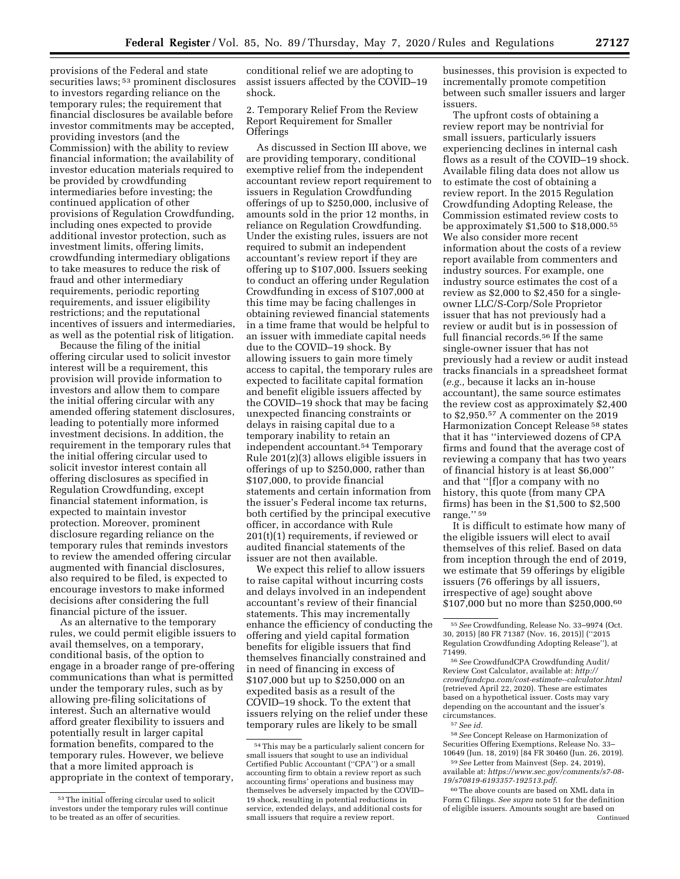provisions of the Federal and state securities laws; 53 prominent disclosures to investors regarding reliance on the temporary rules; the requirement that financial disclosures be available before investor commitments may be accepted, providing investors (and the Commission) with the ability to review financial information; the availability of investor education materials required to be provided by crowdfunding intermediaries before investing; the continued application of other provisions of Regulation Crowdfunding, including ones expected to provide additional investor protection, such as investment limits, offering limits, crowdfunding intermediary obligations to take measures to reduce the risk of fraud and other intermediary requirements, periodic reporting requirements, and issuer eligibility restrictions; and the reputational incentives of issuers and intermediaries, as well as the potential risk of litigation.

Because the filing of the initial offering circular used to solicit investor interest will be a requirement, this provision will provide information to investors and allow them to compare the initial offering circular with any amended offering statement disclosures, leading to potentially more informed investment decisions. In addition, the requirement in the temporary rules that the initial offering circular used to solicit investor interest contain all offering disclosures as specified in Regulation Crowdfunding, except financial statement information, is expected to maintain investor protection. Moreover, prominent disclosure regarding reliance on the temporary rules that reminds investors to review the amended offering circular augmented with financial disclosures, also required to be filed, is expected to encourage investors to make informed decisions after considering the full financial picture of the issuer.

As an alternative to the temporary rules, we could permit eligible issuers to avail themselves, on a temporary, conditional basis, of the option to engage in a broader range of pre-offering communications than what is permitted under the temporary rules, such as by allowing pre-filing solicitations of interest. Such an alternative would afford greater flexibility to issuers and potentially result in larger capital formation benefits, compared to the temporary rules. However, we believe that a more limited approach is appropriate in the context of temporary,

conditional relief we are adopting to assist issuers affected by the COVID–19 shock.

## 2. Temporary Relief From the Review Report Requirement for Smaller **Offerings**

As discussed in Section III above, we are providing temporary, conditional exemptive relief from the independent accountant review report requirement to issuers in Regulation Crowdfunding offerings of up to \$250,000, inclusive of amounts sold in the prior 12 months, in reliance on Regulation Crowdfunding. Under the existing rules, issuers are not required to submit an independent accountant's review report if they are offering up to \$107,000. Issuers seeking to conduct an offering under Regulation Crowdfunding in excess of \$107,000 at this time may be facing challenges in obtaining reviewed financial statements in a time frame that would be helpful to an issuer with immediate capital needs due to the COVID–19 shock. By allowing issuers to gain more timely access to capital, the temporary rules are expected to facilitate capital formation and benefit eligible issuers affected by the COVID–19 shock that may be facing unexpected financing constraints or delays in raising capital due to a temporary inability to retain an independent accountant.54 Temporary Rule 201(z)(3) allows eligible issuers in offerings of up to \$250,000, rather than \$107,000, to provide financial statements and certain information from the issuer's Federal income tax returns, both certified by the principal executive officer, in accordance with Rule 201(t)(1) requirements, if reviewed or audited financial statements of the issuer are not then available.

We expect this relief to allow issuers to raise capital without incurring costs and delays involved in an independent accountant's review of their financial statements. This may incrementally enhance the efficiency of conducting the offering and yield capital formation benefits for eligible issuers that find themselves financially constrained and in need of financing in excess of \$107,000 but up to \$250,000 on an expedited basis as a result of the COVID–19 shock. To the extent that issuers relying on the relief under these temporary rules are likely to be small

businesses, this provision is expected to incrementally promote competition between such smaller issuers and larger issuers.

The upfront costs of obtaining a review report may be nontrivial for small issuers, particularly issuers experiencing declines in internal cash flows as a result of the COVID–19 shock. Available filing data does not allow us to estimate the cost of obtaining a review report. In the 2015 Regulation Crowdfunding Adopting Release, the Commission estimated review costs to be approximately \$1,500 to \$18,000.55 We also consider more recent information about the costs of a review report available from commenters and industry sources. For example, one industry source estimates the cost of a review as \$2,000 to \$2,450 for a singleowner LLC/S-Corp/Sole Proprietor issuer that has not previously had a review or audit but is in possession of full financial records.<sup>56</sup> If the same single-owner issuer that has not previously had a review or audit instead tracks financials in a spreadsheet format (*e.g.,* because it lacks an in-house accountant), the same source estimates the review cost as approximately \$2,400 to \$2,950.57 A commenter on the 2019 Harmonization Concept Release 58 states that it has ''interviewed dozens of CPA firms and found that the average cost of reviewing a company that has two years of financial history is at least \$6,000'' and that ''[f]or a company with no history, this quote (from many CPA firms) has been in the \$1,500 to \$2,500 range.'' 59

It is difficult to estimate how many of the eligible issuers will elect to avail themselves of this relief. Based on data from inception through the end of 2019, we estimate that 59 offerings by eligible issuers (76 offerings by all issuers, irrespective of age) sought above \$107,000 but no more than \$250,000.<sup>60</sup>

58*See* Concept Release on Harmonization of Securities Offering Exemptions, Release No. 33– 10649 (Jun. 18, 2019) [84 FR 30460 (Jun. 26, 2019).

59*See* Letter from Mainvest (Sep. 24, 2019), available at: *[https://www.sec.gov/comments/s7-08-](https://www.sec.gov/comments/s7-08-19/s70819-6193357-192513.pdf) [19/s70819-6193357-192513.pdf.](https://www.sec.gov/comments/s7-08-19/s70819-6193357-192513.pdf)* 

60The above counts are based on XML data in Form C filings. *See supra* note 51 for the definition of eligible issuers. Amounts sought are based on Continued

<sup>53</sup>The initial offering circular used to solicit investors under the temporary rules will continue to be treated as an offer of securities.

<sup>54</sup>This may be a particularly salient concern for small issuers that sought to use an individual Certified Public Accountant (''CPA'') or a small accounting firm to obtain a review report as such accounting firms' operations and business may themselves be adversely impacted by the COVID– 19 shock, resulting in potential reductions in service, extended delays, and additional costs for small issuers that require a review report.

<sup>55</sup>*See* Crowdfunding, Release No. 33–9974 (Oct. 30, 2015) [80 FR 71387 (Nov. 16, 2015)] (''2015 Regulation Crowdfunding Adopting Release''), at 71499.

<sup>56</sup>*See* CrowdfundCPA Crowdfunding Audit/ Review Cost Calculator, available at: *[http://](http://crowdfundcpa.com/cost-estimate--calculator.html) [crowdfundcpa.com/cost-estimate--calculator.html](http://crowdfundcpa.com/cost-estimate--calculator.html)*  (retrieved April 22, 2020). These are estimates based on a hypothetical issuer. Costs may vary depending on the accountant and the issuer's circumstances.

<sup>57</sup>*See id.*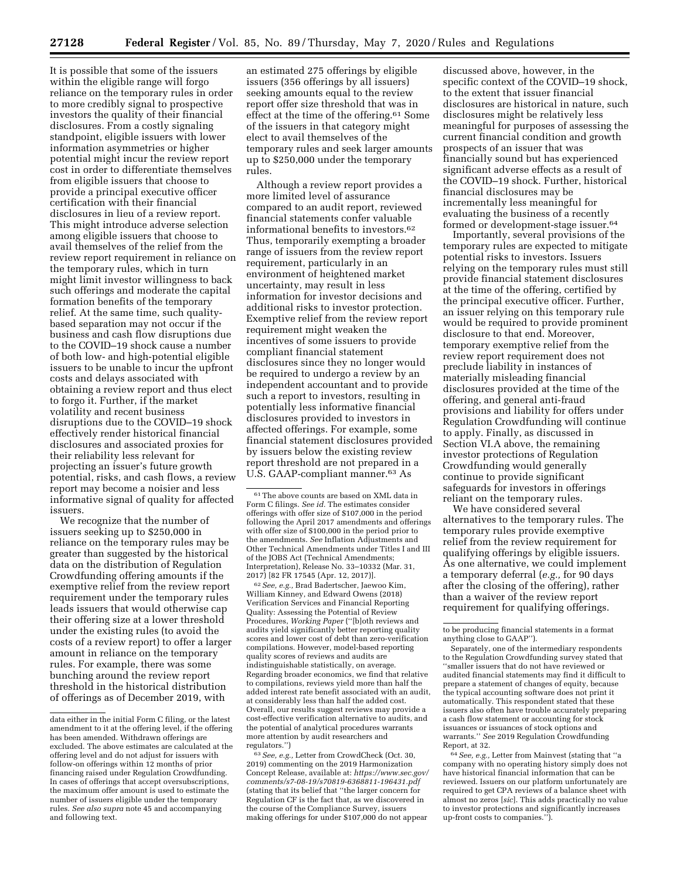It is possible that some of the issuers within the eligible range will forgo reliance on the temporary rules in order to more credibly signal to prospective investors the quality of their financial disclosures. From a costly signaling standpoint, eligible issuers with lower information asymmetries or higher potential might incur the review report cost in order to differentiate themselves from eligible issuers that choose to provide a principal executive officer certification with their financial disclosures in lieu of a review report. This might introduce adverse selection among eligible issuers that choose to avail themselves of the relief from the review report requirement in reliance on the temporary rules, which in turn might limit investor willingness to back such offerings and moderate the capital formation benefits of the temporary relief. At the same time, such qualitybased separation may not occur if the business and cash flow disruptions due to the COVID–19 shock cause a number of both low- and high-potential eligible issuers to be unable to incur the upfront costs and delays associated with obtaining a review report and thus elect to forgo it. Further, if the market volatility and recent business disruptions due to the COVID–19 shock effectively render historical financial disclosures and associated proxies for their reliability less relevant for projecting an issuer's future growth potential, risks, and cash flows, a review report may become a noisier and less informative signal of quality for affected issuers.

We recognize that the number of issuers seeking up to \$250,000 in reliance on the temporary rules may be greater than suggested by the historical data on the distribution of Regulation Crowdfunding offering amounts if the exemptive relief from the review report requirement under the temporary rules leads issuers that would otherwise cap their offering size at a lower threshold under the existing rules (to avoid the costs of a review report) to offer a larger amount in reliance on the temporary rules. For example, there was some bunching around the review report threshold in the historical distribution of offerings as of December 2019, with

an estimated 275 offerings by eligible issuers (356 offerings by all issuers) seeking amounts equal to the review report offer size threshold that was in effect at the time of the offering.61 Some of the issuers in that category might elect to avail themselves of the temporary rules and seek larger amounts up to \$250,000 under the temporary rules.

Although a review report provides a more limited level of assurance compared to an audit report, reviewed financial statements confer valuable informational benefits to investors.62 Thus, temporarily exempting a broader range of issuers from the review report requirement, particularly in an environment of heightened market uncertainty, may result in less information for investor decisions and additional risks to investor protection. Exemptive relief from the review report requirement might weaken the incentives of some issuers to provide compliant financial statement disclosures since they no longer would be required to undergo a review by an independent accountant and to provide such a report to investors, resulting in potentially less informative financial disclosures provided to investors in affected offerings. For example, some financial statement disclosures provided by issuers below the existing review report threshold are not prepared in a U.S. GAAP-compliant manner.<sup>63</sup> As

62*See, e.g.,* Brad Badertscher, Jaewoo Kim, William Kinney, and Edward Owens (2018) Verification Services and Financial Reporting Quality: Assessing the Potential of Review Procedures, *Working Paper* (''[b]oth reviews and audits yield significantly better reporting quality scores and lower cost of debt than zero-verification compilations. However, model-based reporting quality scores of reviews and audits are indistinguishable statistically, on average. Regarding broader economics, we find that relative to compilations, reviews yield more than half the added interest rate benefit associated with an audit, at considerably less than half the added cost. Overall, our results suggest reviews may provide a cost-effective verification alternative to audits, and the potential of analytical procedures warrants more attention by audit researchers and regulators.'')

63*See, e.g.,* Letter from CrowdCheck (Oct. 30, 2019) commenting on the 2019 Harmonization Concept Release, available at: *[https://www.sec.gov/](https://www.sec.gov/comments/s7-08-19/s70819-6368811-196431.pdf) [comments/s7-08-19/s70819-6368811-196431.pdf](https://www.sec.gov/comments/s7-08-19/s70819-6368811-196431.pdf)*  (stating that its belief that ''the larger concern for Regulation CF is the fact that, as we discovered in the course of the Compliance Survey, issuers making offerings for under \$107,000 do not appear

discussed above, however, in the specific context of the COVID–19 shock, to the extent that issuer financial disclosures are historical in nature, such disclosures might be relatively less meaningful for purposes of assessing the current financial condition and growth prospects of an issuer that was financially sound but has experienced significant adverse effects as a result of the COVID–19 shock. Further, historical financial disclosures may be incrementally less meaningful for evaluating the business of a recently formed or development-stage issuer.64

Importantly, several provisions of the temporary rules are expected to mitigate potential risks to investors. Issuers relying on the temporary rules must still provide financial statement disclosures at the time of the offering, certified by the principal executive officer. Further, an issuer relying on this temporary rule would be required to provide prominent disclosure to that end. Moreover, temporary exemptive relief from the review report requirement does not preclude liability in instances of materially misleading financial disclosures provided at the time of the offering, and general anti-fraud provisions and liability for offers under Regulation Crowdfunding will continue to apply. Finally, as discussed in Section VI.A above, the remaining investor protections of Regulation Crowdfunding would generally continue to provide significant safeguards for investors in offerings reliant on the temporary rules.

We have considered several alternatives to the temporary rules. The temporary rules provide exemptive relief from the review requirement for qualifying offerings by eligible issuers. As one alternative, we could implement a temporary deferral (*e.g.,* for 90 days after the closing of the offering), rather than a waiver of the review report requirement for qualifying offerings.

Separately, one of the intermediary respondents to the Regulation Crowdfunding survey stated that ''smaller issuers that do not have reviewed or audited financial statements may find it difficult to prepare a statement of changes of equity, because the typical accounting software does not print it automatically. This respondent stated that these issuers also often have trouble accurately preparing a cash flow statement or accounting for stock issuances or issuances of stock options and warrants.'' *See* 2019 Regulation Crowdfunding Report, at 32.

64*See, e.g.,* Letter from Mainvest (stating that ''a company with no operating history simply does not have historical financial information that can be reviewed. Issuers on our platform unfortunately are required to get CPA reviews of a balance sheet with almost no zeros [*sic*]. This adds practically no value to investor protections and significantly increases up-front costs to companies.'').

data either in the initial Form C filing, or the latest amendment to it at the offering level, if the offering has been amended. Withdrawn offerings are excluded. The above estimates are calculated at the offering level and do not adjust for issuers with follow-on offerings within 12 months of prior financing raised under Regulation Crowdfunding. In cases of offerings that accept oversubscriptions, the maximum offer amount is used to estimate the number of issuers eligible under the temporary rules. *See also supra* note 45 and accompanying and following text.

 $\ensuremath{^{61}}$  The above counts are based on XML data in Form C filings. *See id.* The estimates consider offerings with offer size of \$107,000 in the period following the April 2017 amendments and offerings with offer size of \$100,000 in the period prior to the amendments. *See* Inflation Adjustments and Other Technical Amendments under Titles I and III of the JOBS Act (Technical Amendments; Interpretation), Release No. 33–10332 (Mar. 31, 2017) [82 FR 17545 (Apr. 12, 2017)].

to be producing financial statements in a format anything close to GAAP'').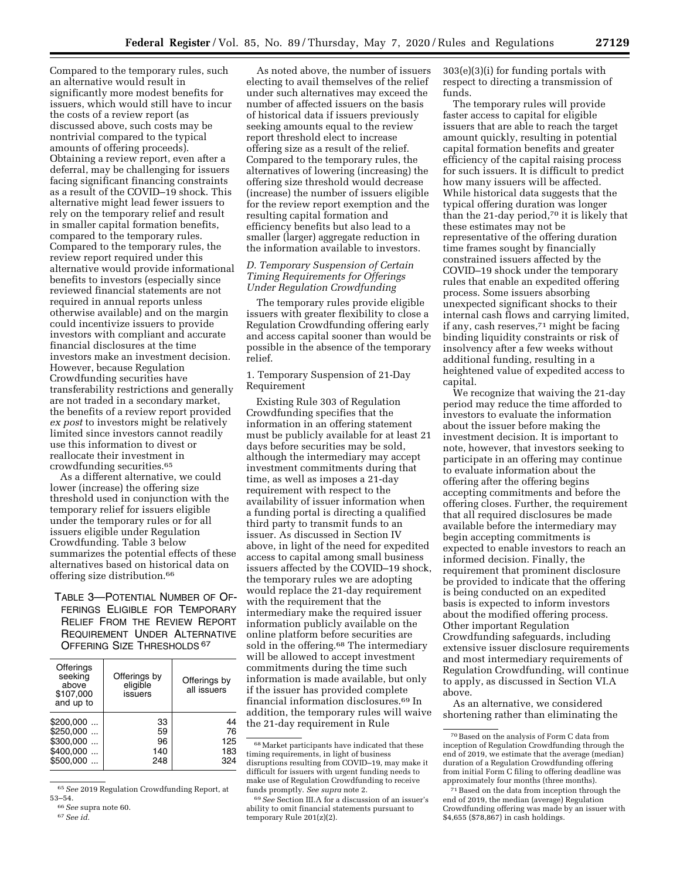Compared to the temporary rules, such an alternative would result in significantly more modest benefits for issuers, which would still have to incur the costs of a review report (as discussed above, such costs may be nontrivial compared to the typical amounts of offering proceeds). Obtaining a review report, even after a deferral, may be challenging for issuers facing significant financing constraints as a result of the COVID–19 shock. This alternative might lead fewer issuers to rely on the temporary relief and result in smaller capital formation benefits, compared to the temporary rules. Compared to the temporary rules, the review report required under this alternative would provide informational benefits to investors (especially since reviewed financial statements are not required in annual reports unless otherwise available) and on the margin could incentivize issuers to provide investors with compliant and accurate financial disclosures at the time investors make an investment decision. However, because Regulation Crowdfunding securities have transferability restrictions and generally are not traded in a secondary market, the benefits of a review report provided *ex post* to investors might be relatively limited since investors cannot readily use this information to divest or reallocate their investment in crowdfunding securities.65

As a different alternative, we could lower (increase) the offering size threshold used in conjunction with the temporary relief for issuers eligible under the temporary rules or for all issuers eligible under Regulation Crowdfunding. Table 3 below summarizes the potential effects of these alternatives based on historical data on offering size distribution.66

TABLE 3—POTENTIAL NUMBER OF OF-FERINGS ELIGIBLE FOR TEMPORARY RELIEF FROM THE REVIEW REPORT REQUIREMENT UNDER ALTERNATIVE OFFERING SIZE THRESHOLDS 67

| Offerings<br>seeking<br>above<br>\$107,000<br>and up to | Offerings by<br>eligible<br>issuers | Offerings by<br>all issuers |
|---------------------------------------------------------|-------------------------------------|-----------------------------|
| $$200,000$                                              | 33                                  | 44                          |
| \$250.000                                               | 59                                  | 76                          |
| $$300,000$                                              | 96                                  | 125                         |
| \$400.000                                               | 140                                 | 183                         |
| \$500.000                                               | 248                                 | 324                         |

65*See* 2019 Regulation Crowdfunding Report, at

As noted above, the number of issuers electing to avail themselves of the relief under such alternatives may exceed the number of affected issuers on the basis of historical data if issuers previously seeking amounts equal to the review report threshold elect to increase offering size as a result of the relief. Compared to the temporary rules, the alternatives of lowering (increasing) the offering size threshold would decrease (increase) the number of issuers eligible for the review report exemption and the resulting capital formation and efficiency benefits but also lead to a smaller (larger) aggregate reduction in the information available to investors.

### *D. Temporary Suspension of Certain Timing Requirements for Offerings Under Regulation Crowdfunding*

The temporary rules provide eligible issuers with greater flexibility to close a Regulation Crowdfunding offering early and access capital sooner than would be possible in the absence of the temporary relief.

1. Temporary Suspension of 21-Day Requirement

Existing Rule 303 of Regulation Crowdfunding specifies that the information in an offering statement must be publicly available for at least 21 days before securities may be sold, although the intermediary may accept investment commitments during that time, as well as imposes a 21-day requirement with respect to the availability of issuer information when a funding portal is directing a qualified third party to transmit funds to an issuer. As discussed in Section IV above, in light of the need for expedited access to capital among small business issuers affected by the COVID–19 shock, the temporary rules we are adopting would replace the 21-day requirement with the requirement that the intermediary make the required issuer information publicly available on the online platform before securities are sold in the offering.<sup>68</sup> The intermediary will be allowed to accept investment commitments during the time such information is made available, but only if the issuer has provided complete financial information disclosures.69 In addition, the temporary rules will waive the 21-day requirement in Rule

303(e)(3)(i) for funding portals with respect to directing a transmission of funds.

The temporary rules will provide faster access to capital for eligible issuers that are able to reach the target amount quickly, resulting in potential capital formation benefits and greater efficiency of the capital raising process for such issuers. It is difficult to predict how many issuers will be affected. While historical data suggests that the typical offering duration was longer than the 21-day period,70 it is likely that these estimates may not be representative of the offering duration time frames sought by financially constrained issuers affected by the COVID–19 shock under the temporary rules that enable an expedited offering process. Some issuers absorbing unexpected significant shocks to their internal cash flows and carrying limited, if any, cash reserves,71 might be facing binding liquidity constraints or risk of insolvency after a few weeks without additional funding, resulting in a heightened value of expedited access to capital.

We recognize that waiving the 21-day period may reduce the time afforded to investors to evaluate the information about the issuer before making the investment decision. It is important to note, however, that investors seeking to participate in an offering may continue to evaluate information about the offering after the offering begins accepting commitments and before the offering closes. Further, the requirement that all required disclosures be made available before the intermediary may begin accepting commitments is expected to enable investors to reach an informed decision. Finally, the requirement that prominent disclosure be provided to indicate that the offering is being conducted on an expedited basis is expected to inform investors about the modified offering process. Other important Regulation Crowdfunding safeguards, including extensive issuer disclosure requirements and most intermediary requirements of Regulation Crowdfunding, will continue to apply, as discussed in Section VI.A above.

As an alternative, we considered shortening rather than eliminating the

<sup>53–54. 66</sup>*See* supra note 60. 67*See id.* 

 $^{68}\rm{Market}$  participants have indicated that these timing requirements, in light of business disruptions resulting from COVID–19, may make it difficult for issuers with urgent funding needs to make use of Regulation Crowdfunding to receive funds promptly. *See supra* note 2.

<sup>69</sup>*See* Section III.A for a discussion of an issuer's ability to omit financial statements pursuant to temporary Rule 201(z)(2).

<sup>70</sup>Based on the analysis of Form C data from inception of Regulation Crowdfunding through the end of 2019, we estimate that the average (median) duration of a Regulation Crowdfunding offering from initial Form C filing to offering deadline was approximately four months (three months).

<sup>71</sup>Based on the data from inception through the end of 2019, the median (average) Regulation Crowdfunding offering was made by an issuer with \$4,655 (\$78,867) in cash holdings.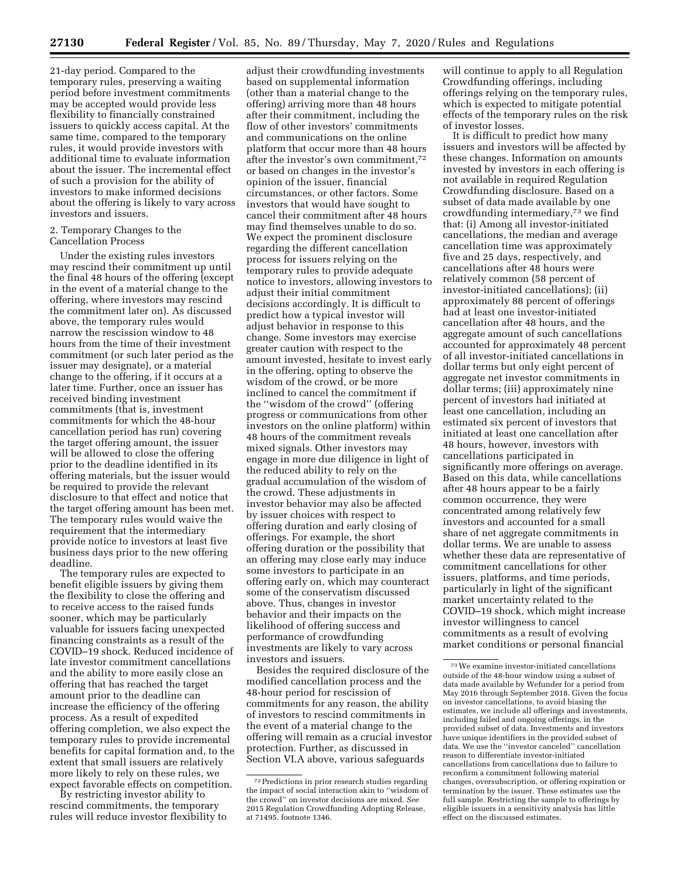21-day period. Compared to the temporary rules, preserving a waiting period before investment commitments may be accepted would provide less flexibility to financially constrained issuers to quickly access capital. At the same time, compared to the temporary rules, it would provide investors with additional time to evaluate information about the issuer. The incremental effect of such a provision for the ability of investors to make informed decisions about the offering is likely to vary across investors and issuers.

### 2. Temporary Changes to the Cancellation Process

Under the existing rules investors may rescind their commitment up until the final 48 hours of the offering (except in the event of a material change to the offering, where investors may rescind the commitment later on). As discussed above, the temporary rules would narrow the rescission window to 48 hours from the time of their investment commitment (or such later period as the issuer may designate), or a material change to the offering, if it occurs at a later time. Further, once an issuer has received binding investment commitments (that is, investment commitments for which the 48-hour cancellation period has run) covering the target offering amount, the issuer will be allowed to close the offering prior to the deadline identified in its offering materials, but the issuer would be required to provide the relevant disclosure to that effect and notice that the target offering amount has been met. The temporary rules would waive the requirement that the intermediary provide notice to investors at least five business days prior to the new offering deadline.

The temporary rules are expected to benefit eligible issuers by giving them the flexibility to close the offering and to receive access to the raised funds sooner, which may be particularly valuable for issuers facing unexpected financing constraints as a result of the COVID–19 shock. Reduced incidence of late investor commitment cancellations and the ability to more easily close an offering that has reached the target amount prior to the deadline can increase the efficiency of the offering process. As a result of expedited offering completion, we also expect the temporary rules to provide incremental benefits for capital formation and, to the extent that small issuers are relatively more likely to rely on these rules, we expect favorable effects on competition.

By restricting investor ability to rescind commitments, the temporary rules will reduce investor flexibility to

adjust their crowdfunding investments based on supplemental information (other than a material change to the offering) arriving more than 48 hours after their commitment, including the flow of other investors' commitments and communications on the online platform that occur more than 48 hours after the investor's own commitment,72 or based on changes in the investor's opinion of the issuer, financial circumstances, or other factors. Some investors that would have sought to cancel their commitment after 48 hours may find themselves unable to do so. We expect the prominent disclosure regarding the different cancellation process for issuers relying on the temporary rules to provide adequate notice to investors, allowing investors to adjust their initial commitment decisions accordingly. It is difficult to predict how a typical investor will adjust behavior in response to this change. Some investors may exercise greater caution with respect to the amount invested, hesitate to invest early in the offering, opting to observe the wisdom of the crowd, or be more inclined to cancel the commitment if the ''wisdom of the crowd'' (offering progress or communications from other investors on the online platform) within 48 hours of the commitment reveals mixed signals. Other investors may engage in more due diligence in light of the reduced ability to rely on the gradual accumulation of the wisdom of the crowd. These adjustments in investor behavior may also be affected by issuer choices with respect to offering duration and early closing of offerings. For example, the short offering duration or the possibility that an offering may close early may induce some investors to participate in an offering early on, which may counteract some of the conservatism discussed above. Thus, changes in investor behavior and their impacts on the likelihood of offering success and performance of crowdfunding investments are likely to vary across investors and issuers.

Besides the required disclosure of the modified cancellation process and the 48-hour period for rescission of commitments for any reason, the ability of investors to rescind commitments in the event of a material change to the offering will remain as a crucial investor protection. Further, as discussed in Section VI.A above, various safeguards

will continue to apply to all Regulation Crowdfunding offerings, including offerings relying on the temporary rules, which is expected to mitigate potential effects of the temporary rules on the risk of investor losses.

It is difficult to predict how many issuers and investors will be affected by these changes. Information on amounts invested by investors in each offering is not available in required Regulation Crowdfunding disclosure. Based on a subset of data made available by one crowdfunding intermediary,73 we find that: (i) Among all investor-initiated cancellations, the median and average cancellation time was approximately five and 25 days, respectively, and cancellations after 48 hours were relatively common (58 percent of investor-initiated cancellations); (ii) approximately 88 percent of offerings had at least one investor-initiated cancellation after 48 hours, and the aggregate amount of such cancellations accounted for approximately 48 percent of all investor-initiated cancellations in dollar terms but only eight percent of aggregate net investor commitments in dollar terms; (iii) approximately nine percent of investors had initiated at least one cancellation, including an estimated six percent of investors that initiated at least one cancellation after 48 hours, however, investors with cancellations participated in significantly more offerings on average. Based on this data, while cancellations after 48 hours appear to be a fairly common occurrence, they were concentrated among relatively few investors and accounted for a small share of net aggregate commitments in dollar terms. We are unable to assess whether these data are representative of commitment cancellations for other issuers, platforms, and time periods, particularly in light of the significant market uncertainty related to the COVID–19 shock, which might increase investor willingness to cancel commitments as a result of evolving market conditions or personal financial

<sup>72</sup>Predictions in prior research studies regarding the impact of social interaction akin to ''wisdom of the crowd'' on investor decisions are mixed. *See*  2015 Regulation Crowdfunding Adopting Release, at 71495, footnote 1346.

<sup>73</sup>We examine investor-initiated cancellations outside of the 48-hour window using a subset of data made available by Wefunder for a period from May 2016 through September 2018. Given the focus on investor cancellations, to avoid biasing the estimates, we include all offerings and investments, including failed and ongoing offerings, in the provided subset of data. Investments and investors have unique identifiers in the provided subset of data. We use the ''investor canceled'' cancellation reason to differentiate investor-initiated cancellations from cancellations due to failure to reconfirm a commitment following material changes, oversubscription, or offering expiration or termination by the issuer. These estimates use the full sample. Restricting the sample to offerings by eligible issuers in a sensitivity analysis has little effect on the discussed estimates.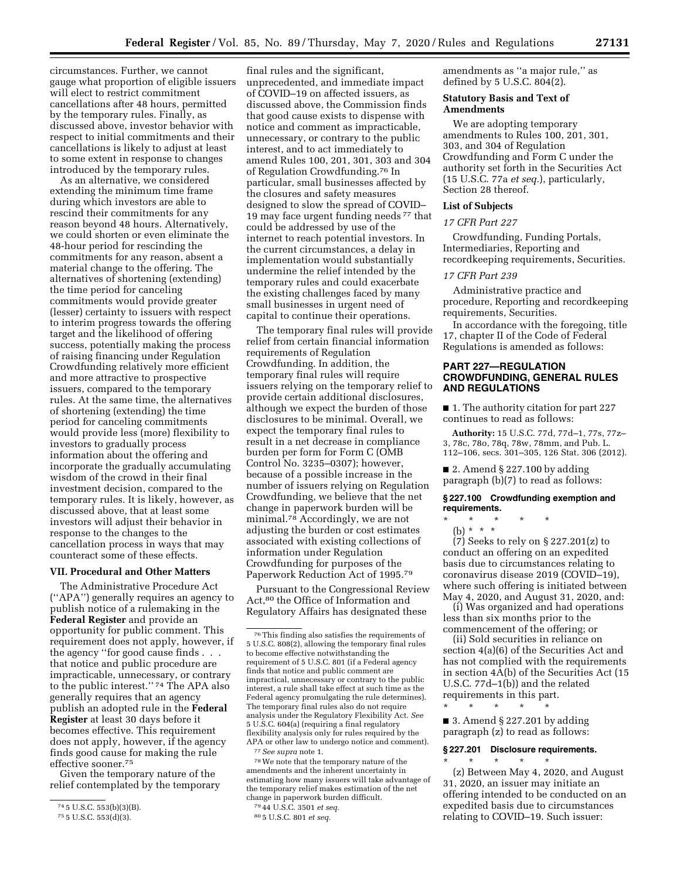circumstances. Further, we cannot gauge what proportion of eligible issuers will elect to restrict commitment cancellations after 48 hours, permitted by the temporary rules. Finally, as discussed above, investor behavior with respect to initial commitments and their cancellations is likely to adjust at least to some extent in response to changes introduced by the temporary rules.

As an alternative, we considered extending the minimum time frame during which investors are able to rescind their commitments for any reason beyond 48 hours. Alternatively, we could shorten or even eliminate the 48-hour period for rescinding the commitments for any reason, absent a material change to the offering. The alternatives of shortening (extending) the time period for canceling commitments would provide greater (lesser) certainty to issuers with respect to interim progress towards the offering target and the likelihood of offering success, potentially making the process of raising financing under Regulation Crowdfunding relatively more efficient and more attractive to prospective issuers, compared to the temporary rules. At the same time, the alternatives of shortening (extending) the time period for canceling commitments would provide less (more) flexibility to investors to gradually process information about the offering and incorporate the gradually accumulating wisdom of the crowd in their final investment decision, compared to the temporary rules. It is likely, however, as discussed above, that at least some investors will adjust their behavior in response to the changes to the cancellation process in ways that may counteract some of these effects.

## **VII. Procedural and Other Matters**

The Administrative Procedure Act (''APA'') generally requires an agency to publish notice of a rulemaking in the **Federal Register** and provide an opportunity for public comment. This requirement does not apply, however, if the agency ''for good cause finds . . . that notice and public procedure are impracticable, unnecessary, or contrary to the public interest.'' 74 The APA also generally requires that an agency publish an adopted rule in the **Federal Register** at least 30 days before it becomes effective. This requirement does not apply, however, if the agency finds good cause for making the rule effective sooner.75

Given the temporary nature of the relief contemplated by the temporary

final rules and the significant, unprecedented, and immediate impact of COVID–19 on affected issuers, as discussed above, the Commission finds that good cause exists to dispense with notice and comment as impracticable, unnecessary, or contrary to the public interest, and to act immediately to amend Rules 100, 201, 301, 303 and 304 of Regulation Crowdfunding.76 In particular, small businesses affected by the closures and safety measures designed to slow the spread of COVID– 19 may face urgent funding needs 77 that could be addressed by use of the internet to reach potential investors. In the current circumstances, a delay in implementation would substantially undermine the relief intended by the temporary rules and could exacerbate the existing challenges faced by many small businesses in urgent need of capital to continue their operations.

The temporary final rules will provide relief from certain financial information requirements of Regulation Crowdfunding. In addition, the temporary final rules will require issuers relying on the temporary relief to provide certain additional disclosures, although we expect the burden of those disclosures to be minimal. Overall, we expect the temporary final rules to result in a net decrease in compliance burden per form for Form C (OMB Control No. 3235–0307); however, because of a possible increase in the number of issuers relying on Regulation Crowdfunding, we believe that the net change in paperwork burden will be minimal.78 Accordingly, we are not adjusting the burden or cost estimates associated with existing collections of information under Regulation Crowdfunding for purposes of the Paperwork Reduction Act of 1995.79

Pursuant to the Congressional Review Act,80 the Office of Information and Regulatory Affairs has designated these

78We note that the temporary nature of the amendments and the inherent uncertainty in estimating how many issuers will take advantage of the temporary relief makes estimation of the net change in paperwork burden difficult.

amendments as ''a major rule,'' as defined by 5 U.S.C. 804(2).

### **Statutory Basis and Text of Amendments**

We are adopting temporary amendments to Rules 100, 201, 301, 303, and 304 of Regulation Crowdfunding and Form C under the authority set forth in the Securities Act (15 U.S.C. 77a *et seq.*), particularly, Section 28 thereof.

### **List of Subjects**

### *17 CFR Part 227*

Crowdfunding, Funding Portals, Intermediaries, Reporting and recordkeeping requirements, Securities.

## *17 CFR Part 239*

Administrative practice and procedure, Reporting and recordkeeping requirements, Securities.

In accordance with the foregoing, title 17, chapter II of the Code of Federal Regulations is amended as follows:

## **PART 227—REGULATION CROWDFUNDING, GENERAL RULES AND REGULATIONS**

■ 1. The authority citation for part 227 continues to read as follows:

**Authority:** 15 U.S.C. 77d, 77d–1, 77s, 77z– 3, 78c, 78o, 78q, 78w, 78mm, and Pub. L. 112–106, secs. 301–305, 126 Stat. 306 (2012).

 $\blacksquare$  2. Amend § 227.100 by adding paragraph (b)(7) to read as follows:

**§ 227.100 Crowdfunding exemption and requirements.** 

- \* \* \* \* \*
- (b) \* \* \*

(7) Seeks to rely on § 227.201(z) to conduct an offering on an expedited basis due to circumstances relating to coronavirus disease 2019 (COVID–19), where such offering is initiated between May 4, 2020, and August 31, 2020, and:

(i) Was organized and had operations less than six months prior to the commencement of the offering; or

(ii) Sold securities in reliance on section 4(a)(6) of the Securities Act and has not complied with the requirements in section 4A(b) of the Securities Act (15 U.S.C. 77d–1(b)) and the related requirements in this part. \* \* \* \* \*

 $\blacksquare$  3. Amend § 227.201 by adding paragraph (z) to read as follows:

#### **§ 227.201 Disclosure requirements.**

\* \* \* \* \* (z) Between May 4, 2020, and August 31, 2020, an issuer may initiate an offering intended to be conducted on an expedited basis due to circumstances relating to COVID–19. Such issuer:

<sup>74</sup> 5 U.S.C. 553(b)(3)(B).

<sup>75</sup> 5 U.S.C. 553(d)(3).

<sup>76</sup>This finding also satisfies the requirements of 5 U.S.C. 808(2), allowing the temporary final rules to become effective notwithstanding the requirement of 5 U.S.C. 801 (if a Federal agency finds that notice and public comment are impractical, unnecessary or contrary to the public interest, a rule shall take effect at such time as the Federal agency promulgating the rule determines). The temporary final rules also do not require analysis under the Regulatory Flexibility Act. *See*  5 U.S.C. 604(a) (requiring a final regulatory flexibility analysis only for rules required by the APA or other law to undergo notice and comment). 77*See supra* note 1.

<sup>79</sup> 44 U.S.C. 3501 *et seq.* 

<sup>80</sup> 5 U.S.C. 801 *et seq.*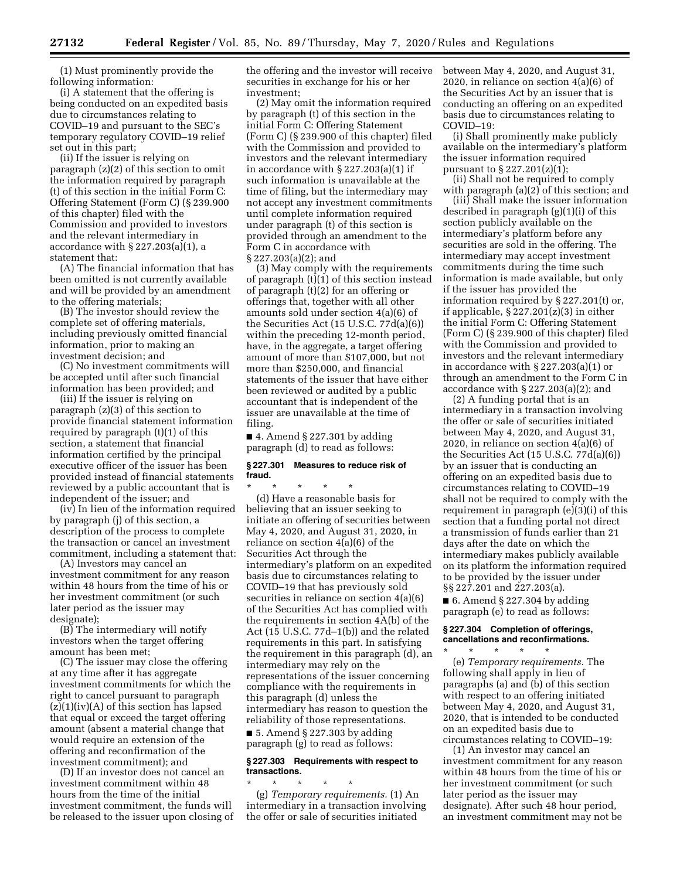(1) Must prominently provide the following information:

(i) A statement that the offering is being conducted on an expedited basis due to circumstances relating to COVID–19 and pursuant to the SEC's temporary regulatory COVID–19 relief set out in this part;

(ii) If the issuer is relying on paragraph (z)(2) of this section to omit the information required by paragraph (t) of this section in the initial Form C: Offering Statement (Form C) (§ 239.900 of this chapter) filed with the Commission and provided to investors and the relevant intermediary in accordance with § 227.203(a)(1), a statement that:

(A) The financial information that has been omitted is not currently available and will be provided by an amendment to the offering materials;

(B) The investor should review the complete set of offering materials, including previously omitted financial information, prior to making an investment decision; and

(C) No investment commitments will be accepted until after such financial information has been provided; and

(iii) If the issuer is relying on paragraph (z)(3) of this section to provide financial statement information required by paragraph (t)(1) of this section, a statement that financial information certified by the principal executive officer of the issuer has been provided instead of financial statements reviewed by a public accountant that is independent of the issuer; and

(iv) In lieu of the information required by paragraph (j) of this section, a description of the process to complete the transaction or cancel an investment commitment, including a statement that:

(A) Investors may cancel an investment commitment for any reason within 48 hours from the time of his or her investment commitment (or such later period as the issuer may designate);

(B) The intermediary will notify investors when the target offering amount has been met;

(C) The issuer may close the offering at any time after it has aggregate investment commitments for which the right to cancel pursuant to paragraph  $(z)(1)(iv)(A)$  of this section has lapsed that equal or exceed the target offering amount (absent a material change that would require an extension of the offering and reconfirmation of the investment commitment); and

(D) If an investor does not cancel an investment commitment within 48 hours from the time of the initial investment commitment, the funds will be released to the issuer upon closing of the offering and the investor will receive securities in exchange for his or her investment;

(2) May omit the information required by paragraph (t) of this section in the initial Form C: Offering Statement (Form C) (§ 239.900 of this chapter) filed with the Commission and provided to investors and the relevant intermediary in accordance with § 227.203(a)(1) if such information is unavailable at the time of filing, but the intermediary may not accept any investment commitments until complete information required under paragraph (t) of this section is provided through an amendment to the Form C in accordance with § 227.203(a)(2); and

(3) May comply with the requirements of paragraph (t)(1) of this section instead of paragraph (t)(2) for an offering or offerings that, together with all other amounts sold under section 4(a)(6) of the Securities Act (15 U.S.C. 77d(a)(6)) within the preceding 12-month period, have, in the aggregate, a target offering amount of more than \$107,000, but not more than \$250,000, and financial statements of the issuer that have either been reviewed or audited by a public accountant that is independent of the issuer are unavailable at the time of filing.

 $\blacksquare$  4. Amend § 227.301 by adding paragraph (d) to read as follows:

### **§ 227.301 Measures to reduce risk of fraud.**

\* \* \* \* \* (d) Have a reasonable basis for believing that an issuer seeking to initiate an offering of securities between May 4, 2020, and August 31, 2020, in reliance on section 4(a)(6) of the Securities Act through the intermediary's platform on an expedited basis due to circumstances relating to COVID–19 that has previously sold securities in reliance on section 4(a)(6) of the Securities Act has complied with the requirements in section 4A(b) of the Act (15 U.S.C. 77d–1(b)) and the related requirements in this part. In satisfying the requirement in this paragraph (d), an intermediary may rely on the representations of the issuer concerning compliance with the requirements in this paragraph (d) unless the intermediary has reason to question the reliability of those representations.

 $\blacksquare$  5. Amend § 227.303 by adding paragraph (g) to read as follows:

## **§ 227.303 Requirements with respect to transactions.**

\* \* \* \* \* (g) *Temporary requirements.* (1) An intermediary in a transaction involving the offer or sale of securities initiated

between May 4, 2020, and August 31, 2020, in reliance on section 4(a)(6) of the Securities Act by an issuer that is conducting an offering on an expedited basis due to circumstances relating to COVID–19:

(i) Shall prominently make publicly available on the intermediary's platform the issuer information required pursuant to § 227.201(z)(1);

(ii) Shall not be required to comply with paragraph (a)(2) of this section; and

(iii) Shall make the issuer information described in paragraph (g)(1)(i) of this section publicly available on the intermediary's platform before any securities are sold in the offering. The intermediary may accept investment commitments during the time such information is made available, but only if the issuer has provided the information required by § 227.201(t) or, if applicable, § 227.201(z)(3) in either the initial Form C: Offering Statement (Form C) (§ 239.900 of this chapter) filed with the Commission and provided to investors and the relevant intermediary in accordance with § 227.203(a)(1) or through an amendment to the Form C in accordance with § 227.203(a)(2); and

(2) A funding portal that is an intermediary in a transaction involving the offer or sale of securities initiated between May 4, 2020, and August 31, 2020, in reliance on section 4(a)(6) of the Securities Act (15 U.S.C. 77d(a)(6)) by an issuer that is conducting an offering on an expedited basis due to circumstances relating to COVID–19 shall not be required to comply with the requirement in paragraph (e)(3)(i) of this section that a funding portal not direct a transmission of funds earlier than 21 days after the date on which the intermediary makes publicly available on its platform the information required to be provided by the issuer under §§ 227.201 and 227.203(a).

 $\blacksquare$  6. Amend § 227.304 by adding paragraph (e) to read as follows:

## **§ 227.304 Completion of offerings, cancellations and reconfirmations.**

\* \* \* \* \* (e) *Temporary requirements.* The following shall apply in lieu of paragraphs (a) and (b) of this section with respect to an offering initiated between May 4, 2020, and August 31, 2020, that is intended to be conducted on an expedited basis due to circumstances relating to COVID–19:

(1) An investor may cancel an investment commitment for any reason within 48 hours from the time of his or her investment commitment (or such later period as the issuer may designate). After such 48 hour period, an investment commitment may not be